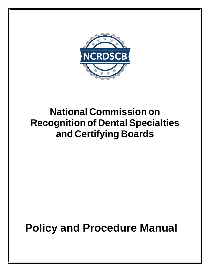

# **National Commission on Recognition of Dental Specialties and Certifying Boards**

# **Policy and Procedure Manual**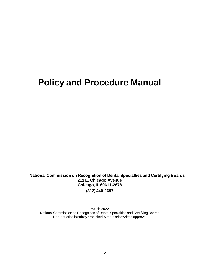# **Policy and Procedure Manual**

**National Commission on Recognition of Dental Specialties and Certifying Boards 211 E. Chicago Avenue Chicago, IL 60611-2678 (312) 440-2697**

March 2022 National Commission on Recognition of Dental Specialties and Certifying Boards Reproduction is strictly prohibited without prior written approval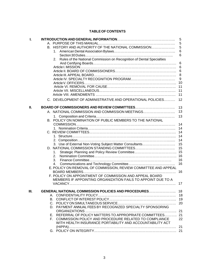# **TABLEOF CONTENTS**

| ı. |                                                                          | 5          |
|----|--------------------------------------------------------------------------|------------|
|    |                                                                          | $\sqrt{5}$ |
|    | B. HISTORY AND AUTHORITY OF THE NATIONAL COMMISSION                      | 5          |
|    | 1.                                                                       | $\,6$      |
|    |                                                                          | 6          |
|    | 2. Rules of the National Commission on Recognition of Dental Specialties |            |
|    |                                                                          | 6          |
|    |                                                                          | 6          |
|    |                                                                          | 6          |
|    |                                                                          | 8          |
|    |                                                                          | 9          |
|    |                                                                          | 10         |
|    |                                                                          | 11         |
|    |                                                                          | 11         |
|    |                                                                          | 11         |
|    | C. DEVELOPMENT OF ADMINISTRATIVE AND OPERATIONAL POLICIES                | 12         |
|    |                                                                          |            |
| П. |                                                                          | 13         |
|    | A. NATIONAL COMMISSION AND COMMISSION MEETINGS                           | 13         |
|    |                                                                          | 13         |
|    |                                                                          |            |
|    |                                                                          | 14         |
|    |                                                                          | 14         |
|    |                                                                          | 14         |
|    |                                                                          | 14         |
|    |                                                                          | 14         |
|    | 3. Use of External Non-Voting Subject Matter Consultants                 | 15         |
|    |                                                                          | 15         |
|    | 1.                                                                       | 15         |
|    | 2.                                                                       | 16         |
|    | 3.                                                                       | 16         |
|    | 4.                                                                       | 16         |
|    | E. POLICY ON REMOVAL OF COMMISSION, REVIEW COMMITTEE AND APPEAL          |            |
|    |                                                                          | 16         |
|    | F. POLICY ON APPOINTMENT OF COMMISSION AND APPEAL BOARD                  |            |
|    | MEMBERS IF APPOINTING ORGANIZATION FAILS TO APPOINT DUE TO A             |            |
|    |                                                                          | 17         |
|    | ERAL NATIONAL COMMISSION POLICIES AND PROCEDURES                         | 18         |
|    |                                                                          |            |
|    |                                                                          |            |
|    |                                                                          | 20         |
|    | D. PAYMENT ANNUAL FEES BY RECOGNIZED SPECIALTY SPONSORING                |            |
|    |                                                                          | 21         |
|    | E. REFERRAL OF POLICY MATTERS TO APPROPRIATE COMMITTEES                  | 21         |
|    | F. COMMISSION POLICY AND PROCEDURE RELATED TO COMPLIANCE                 | 22         |
|    | WITH HEALTH INSURANCE PORTABILITY AND ACCOUNTABILITY ACT                 |            |
|    |                                                                          |            |
|    |                                                                          | 21         |
|    |                                                                          |            |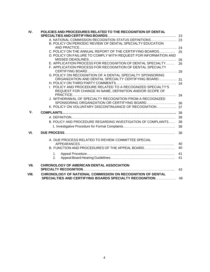| IV.   | POLICIES AND PROCEDURES RELATED TO THE RECOGNITION OF DENTAL      |    |
|-------|-------------------------------------------------------------------|----|
|       | A. NATIONAL COMMISSION RECOGNITION STATUS DEFINITIONS 23          |    |
|       | B. POLICY ON PERIODIC REVIEW OF DENTAL SPECIALTY EDUCATION        |    |
|       | C. POLICY ON THE ANNUAL REPORT OF THE CERTIFYING BOARDS           | 25 |
|       | D. POLICY ON FAILURE TO COMPLY WITH REQUEST FOR INFORMATION AND   |    |
|       | E. APPLICATION PROCESS FOR RECOGNITION OF DENTAL SPECIALTY        | 26 |
|       | F. APPLICATION PROCESS FOR RECOGNITION OF DENTAL SPECIALTY        |    |
|       | G. POLICY ON RECOGNITION OF A DENTAL SPECIALTY SPONSORING         |    |
|       | ORGANIZATION AND DENTAL SPECIALTY CERTIFYING BOARD 31             |    |
|       |                                                                   |    |
|       | I. POLICY AND PROCEDURE RELATED TO A RECOGNIZED SPECIALTY'S       |    |
|       | REQUEST FOR CHANGE IN NAME, DEFINITION AND/OR SCOPE OF            |    |
|       | J. WITHDRAWAL OF SPECIALTY RECOGNITION FROM A RECOGNIZED          |    |
|       | SPONSORING ORGANIZATION OR CERTIFYING BOARD                       | 36 |
|       | K. POLICY ON VOLUNTARY DISCONTINUANCE OF RECOGNITION 37           |    |
| V.    |                                                                   |    |
|       | B. POLICY AND PROCEDURE REGARDING INVESTIGATION OF COMPLAINTS 38  | 38 |
|       |                                                                   | 38 |
| VI.   |                                                                   | 38 |
|       |                                                                   |    |
|       | A. DUE PROCESS RELATED TO REVIEW COMMITTEE SPECIAL                | 40 |
|       | B. FUNCTION AND PROCEDURES OF THE APPEAL BOARD                    | 40 |
|       | 1.                                                                | 41 |
|       | 2.                                                                | 41 |
| VII.  | CHRONOLOGY OF AMERICAN DENTAL ASSOCIATION                         | 43 |
| VIII. | <b>CHRONOLOGY OF NATIONAL COMMISSION ON RECOGNITION OF DENTAL</b> |    |
|       | SPECIALTIES AND CERTIFYING BOARDS SPECIALTY RECOGNITION           | 48 |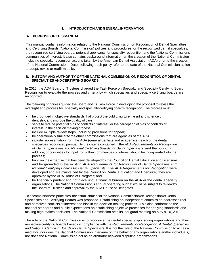# **I. INTRODUCTION ANDGENERAL INFORMATION**

# <span id="page-4-0"></span>**A. PURPOSE OF THIS MANUAL**

This manual contains information related to the National Commission on Recognition of Dental Specialties and Certifying Boards (National Commission) policies and procedures for the recognized dental specialties, the recognized certifying boards, potential applicants for specialty recognition and the National Commissions communities of interest. It also contains background information on the creation of the National Commission including specialty recognition actions taken by the American Dental Association (ADA) prior to the creation of the National Commission. Dates following each policy refer to the date of the National Commission action to adopt, revise or reaffirm policy.

# **B. HISTORY AND AUTHORITY OF THE NATIONAL COMMISSION ON RECOGNITION OF DENTAL SPECIALTIES ANDCERTIFYING BOARDS**

In 2016, the ADA Board of Trustees charged the Task Force on Specialty and Specialty Certifying Board Recognition to evaluate the process and criteria by which specialties and specialty certifying boards are recognized.

The following principles guided the Board and its Task Force in developing the proposal to revise the oversight and process for specialty and specialty certifying board's recognition. The process must:

- be grounded in objective standards that protect the public, nurture the art and science of dentistry, and improve the quality of care;
- serve to reduce potential bias or conflicts of interest, or the perception of bias or conflicts of interest, in the decision making process;
- include multiple review steps, including provisions for appeal;
- be operationally similar to the other commissions that are agencies of the ADA;
- include representation from the ADA (general dentists and academics), each of the dental specialties recognized pursuant to the criteria contained in the *ADA Requirements for Recognition of Dental Specialties and National Certifying Boards for Dental Specialists*, and the public. In addition, opportunities for input from other communities of interest should be incorporated into the process;
- build on the expertise that has been developed by the Council on Dental Education and Licensure and be grounded in the existing *ADA Requirements for Recognition of Dental Specialties and National Certifying Boards for Dental Specialists.* The *ADA Requirements for Recognition* were developed and are maintained by the Council on Dental Education and Licensure; they are approved by the ADA House of Delegates; and
- be financially prudent and not place undue financial burden on the ADA or the dental specialty organizations. The National Commission's annual operating budget would be subject to review by the Board of Trustees and approval by the ADA House of Delegates.

To accomplish these principles, the establishment of the National Commission on Recognition of Dental Specialties and Certifying Boards was proposed. Establishing an independent commission addresses real and perceived conflicts of interest and bias in the decision-making process. This also conforms to the national standards and public expectations on establishing objective processes for applying standards and making high-stakes decisions. The National Commission held its inaugural meeting on May 9-10, 2018.

The role of the National Commission is to recognize the dental specialty sponsoring organizations and their respective certifying boards based on compliance with the *Requirements for Recognition of Dental Specialties and National Certifying Boards for Dental Specialists.* It is not the role of the National Commission to act as a mediator, nor does the National Commission intervene on the behalf of any organizations and/or individuals, nor does the National Commission act as an arbitrator between disputing organizations.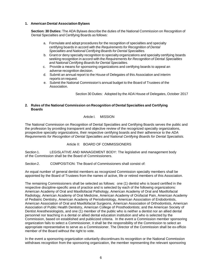# **1. American Dental Association Bylaws**

**Section: 30 Duties:** The ADA Bylaws describe the duties of the National Commission on Recognition of Dental Specialties and Certifying Boards as follows:

- a. Formulate and adopt procedures for the recognition of specialties and specialty certifying boards in accord with the *Requirements for Recognition of Dental Specialties and National Certifying Boards for Dental Specialties.*
- b. Grant or deny specialty recognition to specialty organizations and specialty certifying boards seeking recognition in accord with the *Requirements for Recognition of Dental Specialties and National Certifying Boards for Dental Specialties.*
- c. Provide a means for sponsoring organizations and certifying boards to appeal an adverse recognition decision.
- d. Submit an annual report to the House of Delegates of this Association and interim reports on request.
- e. Submit the National Commission's annual budget to the Board of Trustees of the Association.

Section 30 Duties: Adopted by the ADA House of Delegates, October 2017

#### **2. Rules of the National Commission on Recognition of Dental Specialties and Certifying Boards**

# Article I. MISSION

The National Commission on Recognition of Dental Specialties and Certifying Boards serves the public and the profession by providing transparent and objective review of the recognized specialty organizations, prospective specialty organizations, their respective certifying boards and their adherence to the *ADA Requirements for Recognition of Dental Specialties and National Certifying Boards for Dental Specialists*.

# Article II: BOARD OF COMMISSIONERS

Section 1. LEGISLATIVE AND MANAGEMENT BODY: The legislative and management body of the Commission shall be the Board of Commissioners.

Section 2. COMPOSITION: The Board of Commissioners shall consist of:

An equal number of general dentist members as recognized Commission specialty members shall be appointed by the Board of Trustees from the names of active, life or retired members of this Association.

The remaining Commissioners shall be selected as follows: one (1) dentist who is board certified in the respective discipline-specific area of practice and is selected by each of the following organizations: American Academy of Oral and Maxillofacial Pathology, American Academy of Oral and Maxillofacial Radiology, American Academy of Oral Medicine, American Academy of Orofacial Pain, American Academy of Pediatric Dentistry, American Academy of Periodontology, American Association of Endodontists, American Association of Oral and Maxillofacial Surgeons, American Association of Orthodontists, American Association of Public Health Dentistry, American College of Prosthodontists; and the American Society of Dentist Anesthesiologists, and one (1) member of the public who is neither a dentist nor an allied dental personnel nor teaching in a dental or allied dental education institution and who is selected by the Commission, based on established and publicized criteria. In the event a Commission member sponsoring organization fails to select a Commissioner, it shall be the responsibility of the Commission to select an appropriate representative to serve as a Commissioner. The Director of the Commission shall be ex-officio member of the Board without the right to vote.

In the event a sponsoring organization voluntarily discontinues its recognition or the National Commission withdraws recognition from the sponsoring organization, the member representing the relevant sponsoring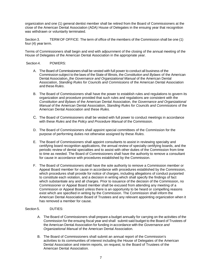organization and one (1) general dentist member shall be retired from the Board of Commissioners at the close of the American Dental Association (ADA) House of Delegates in the ensuing year that recognition was withdrawn or voluntarily terminated.

Section 3. TERM OF OFFICE: The term of office of the members of the Commission shall be one (1) four (4) year term.

Terms of Commissioners shall begin and end with adjournment of the closing of the annual meeting of the House of Delegates of the American Dental Association in the appropriate year.

# Section 4. POWERS:

- A. The Board of Commissioners shall be vested with full power to conduct all business of the Commission subject to the laws of the State of Illinois, the *Constitution and Bylaws* of the American Dental Association, the *Governance and Organizational Manual* of the American Dental Association, *Standing Rules for Councils and Commissions* of the American Dental Association and these *Rules*.
- B. The Board of Commissioners shall have the power to establish rules and regulations to govern its organization and procedure provided that such rules and regulations are consistent with the *Constitution and Bylaws* of the American Dental Association, the *Governance and Organizational Manual* of the American Dental Association, *Standing Rules for Councils and Commissions* of the American Dental Association and these *Rules.*
- C. The Board of Commissioners shall be vested with full power to conduct meetings in accordance with these *Rules* and the *Policy and Procedure Manual* of the Commission.
- D. The Board of Commissioners shall appoint special committees of the Commission for the purpose of performing duties not otherwise assigned by these *Rules.*
- E. The Board of Commissioners shall appoint consultants to assist in reviewing specialty and certifying board recognition applications, the annual review of specialty certifying boards, and the periodic review of dental specialties and to assist with other duties of the Commission from time to time as needed. The Board of Commissioners shall have the authority to remove a consultant for cause in accordance with procedures established by the Commission.
- F. The Board of Commissioners shall have the sole authority to remove a Commission member or Appeal Board member for cause in accordance with procedures established by the Commission, which procedures shall provide for notice of charges, including allegations of conduct purported to constitute each violation, and a decision in writing which shall specify the findings of fact which substantiate any and all charges. Prior to issuance of the decision of the Commission, no Commissioner or Appeal Board member shall be excused from attending any meeting of a Commission or Appeal Board unless there is an opportunity to be heard or compelling reasons exist which are specified in writing by the Commission. The Commission shall inform the American Dental Association Board of Trustees and any relevant appointing organization when it has removed a member for cause.

#### Section 5. DUTIES:

- A. The Board of Commissioners shall prepare a budget annually for carrying on the activities of the Commission for the ensuing fiscal year and shall submit said budget to the Board of Trustees of the American Dental Association for funding in accordance with the *Governance and Organizational Manual* of the American Dental Association.
- B. The Board of Commissioners shall submit an annual report of the Commission's activities to its communities of interest including the House of Delegates of the American Dental Association and interim reports, on request, to the Board of Trustees of the American Dental Association.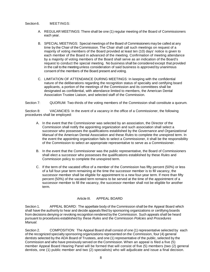#### Section6. MEETINGS:

- A. REGULAR MEETINGS: There shall be one (1) regular meeting of the Board of Commissioners each year.
- B. SPECIAL MEETINGS: Special meetings of the Board of Commissioners may be called at any time by the Chair of the Commission. The Chair shall call such meetings on request of a majority of voting members of the Board provided at least ten (10) days' notice is given to each member of the Board in advanced of the meeting. Confirmation of meeting attendance by a majority of voting members of the Board shall serve as an indication of the Board's request to conduct the special meeting. No business shall be considered except that provided in the call to the meetingunless consideration of said business is approved by unanimous consent of the members of the Board present and voting.
- C. LIMITATION OF ATTENDANCE DURING MEETINGS: In keeping with the confidential nature of the deliberations regarding the recognition status of specialty and certifying board applicants, a portion of the meetings of the Commission and its committees shall be designated as confidential, with attendance limited to members, the American Dental Association Trustee Liaison, and selected staff of the Commission.

Section 7: QUORUM: Two-thirds of the voting members of the Commission shall constitute a quorum.

Section 8: VACANCIES: In the event of a vacancy in the office of a Commissioner, the following procedures shall be employed:

- A. In the event that the Commissioner was selected by an association, the Director of the Commission shall notify the appointing organization and such association shall select a successor who possesses the qualifications established by the *Governance and Organizational Manual* of the American Dental Association and these *Rules* to complete the unexpired term. In the event the appointing organization fails to select a Commissioner, it shall be the responsibility of the Commission to select an appropriate representative to serve as a Commissioner.
- B. In the event that the Commissioner was the public representative, the Board of Commissioners shall elect a successor who possesses the qualifications established by these *Rules* and Commission policy to complete the unexpired term.
- C. If the term of the vacated office of a member of the Commission has fifty percent (50%) or less of a full four-year term remaining at the time the successor member is to fill vacancy, the successor member shall be eligible for appointment to a new four-year term. If more than fifty percent (50%) of the vacated term remains to be served at the time of the appointment of a successor member to fill the vacancy, the successor member shall not be eligible for another term.

# Article III. APPEAL BOARD

Section 1. APPEAL BOARD: The appellate body of the Commission shall be the Appeal Board which shall have the authority to hear and decide appeals filed by sponsoring organizations or certifying boards from decisions denying or revoking recognition rendered by the Commission. Such appeals shall be heard pursuant to procedures established by these *Rules* and the Commission *Policies and Procedures Manual.*

Section 2. COMPOSITION: The Appeal Board shall consist of one (1) representative selected by each of the recognized specialty sponsoring organizations represented on the Commission, four (4) general dentists selected by the ADA Board of Trustees, and one (1) representative of the public, selected by the Commission and who have previously served on the Commission. When an appeal is filed a five (5) member Appeal Board Hearing Panel will be formed that will consist of five (5) members (two (2) general dentists, one (1) public member and two (2) specialists) who will adjudicate and issue a final decision.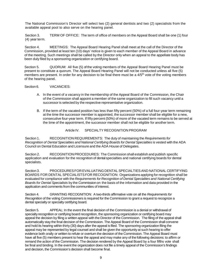The National Commission's Director will select two (2) general dentists and two (2) specialists from the available appeal pool to also serve on the hearing panel.

Section 3. TERM OF OFFICE: The term of office of members on the Appeal Board shall be one (1) four (4) year term.

Section 4. MEETINGS: The Appeal Board Hearing Panel shall meet at the call of the Director of the Commission, provided at least ten (10) days' notice is given to each member of the Appeal Board in advance of the meeting. Such meetings shall be called by the Director only when an appeal to the appellate body has been duly filed by a sponsoring organization or certifying board.

Section 5. QUORUM: All five (5) of the voting members of the Appeal Board Hearing Panel must be present to constitute a quorum. The Appeal Board Hearing Panel will not be conducted unless all five (5) members are present. In order for any decision to be final there must be a  $4/5<sup>th</sup>$  vote of the voting members of the hearing panel.

Section 6. VACANCIES:

- A. In the event of a vacancy in the membership of the Appeal Board of the Commission, the Chair of the Commission shall appoint a member of the same organization to fill such vacancy until a successor is selected by the respective representative organization.
- B. If the term of the vacated position has less than fifty percent (50%) of a full four-year term remaining at the time the successor member is appointed, the successor member shall be eligible for a new, consecutive four-year term. If fifty percent (50%) of more of the vacated term remains to be served at the time of the appointment, the successor member shall not be eligible for another term.

#### Article IV. SPECIALTY RECOGNITION PROGRAM

Section 1. RECOGNITION REQUIREMENTS: The duty of maintaining the *Requirements for Recognition of Dental Specialties and National Certifying Boards for Dental Specialties* is vested with the ADA Council on Dental Education and Licensure and the ADA House of Delegates.

Section 2. RECOGNITION PROCEDURES: The Commission shall establish and publish specific application and evaluation for the recognition of dental specialties and national certifying boards for dental specialists.

Section 3. PROCEDURESFOR EVALUATING DENTAL SPECIALTIES AND NATIONAL CERTIFYING BOARDS FOR DENTAL SPECIALISTSFOR RECOGNITION: Organizations applying for recognition shall be evaluated for compliance with the *Requirements for Recognition of Dental Specialties and National Certifying Boards for Dental Specialists* by the Commission on the basis of the information and data provided in the application and comments from the communities of interest.

Section 4. GRANTING RECOGNITION: A two-thirds affirmative vote on all the *Requirements for Recognition* of the voting Commissioners is required for the Commission to grant a request to recognize a dental specialty or specialty certifying board.

Section 5. APPEAL: In the event the final decision of the Commission is a denial or withdrawal of specialty recognition or certifying board recognition, the sponsoring organization or certifying board may appeal the decision by filing a written appeal with the Director of the Commission. The filing of the appeal shall automatically stay the final decision of the Commission. The Appeal Board of the Commission shall convene and hold its hearing within thirty (30) days after the appeal is filed. The sponsoring organization filing the appeal may be represented by legal counsel and shall be given the opportunity at such hearing to offer evidence both orally or written to refute or overturn the decision of the Commission. The Appeal Board must have all five (5) members present to hear the appeal and may make any of the following decisions: to affirm or remand the action of the Commission. The decision rendered by the Appeal Board by a four fifths vote shall be final and binding. In the event the organization does not file a timely appeal of the Commission's findings and decision, the Commission's decision shall become final.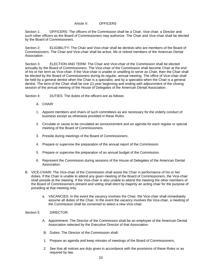# Article V: OFFICERS

Section 1: OFFICERS: The officers of the Commission shall be a Chair, Vice-chair, a Director and such other officers as the Board of Commissioners may authorize. The Chair and Vice-chair shall be elected by the Board of Commissioners.

Section 2: ELIGIBILITY: The Chair and Vice-chair shall be dentists who are members of the Board of Commissioners. The Chair and Vice-chair shall be active, life or retired members of the American Dental Association.

Section 3: ELECTION AND TERM: The Chair and Vice-chair of the Commission shall be elected annually by the Board of Commissioners. The Vice-chair of the Commission shall become Chair at the end of his or her term as Vice-chair. If the Vice-chair is unable or unwilling to serve as Chair, then the Chair shall be elected by the Board of Commissioners during its regular, annual meeting. The office of Vice-chair shall be held by a general dentist when the Chair is a specialist, and by a specialist when the Chair is a general dentist. The term of the Chair shall be one (1) year beginning and ending with adjournment of the closing session of the annual meeting of the House of Delegates of the American Dental Association.

Section 4: DUTIES: The duties of the officers are as follows:

- A. CHAIR:
- 1. Appoint members and chairs of such committees as are necessary for the orderly conduct of business except as otherwise provided in these *Rules.*
- 2. Circulate or cause to be circulated an announcement and an agenda for each regular or special meeting of the Board of Commissioners.
- 3. Preside during meetings of the Board of Commissioners.
- 4. Prepare or supervise the preparation of the annual report of the Commission.
- 5. Prepare or supervise the preparation of an annual budget of the Commission.
- 6. Represent the Commission during sessions of the House of Delegates of the American Dental Association.
- B. VICE-CHAIR: The Vice-chair of the Commission shall assist the Chair in performance of his or her duties. If the Chair is unable to attend any given meeting of the Board of Commissioners, the Vice-chair shall preside at the meeting. If the Vice-chair is also unable to attend the meeting the other members of the Board of Commissioners present and voting shall elect by majority an acting chair for the purpose of presiding at that meeting only.
	- a. VACANCIES: In the event the vacancy involves the Chair, the Vice-chair shall immediately assume all duties of the Chair. In the event the vacancy involves the Vice-chair, a meeting of the Commission shall be convened to select a new Vice-chair.

#### Section 5. DIRECTOR:

- A. Appointment: The Director of the Commission shall be an employee of the American Dental Association selected by the Executive Director of that Association.
- B. Duties: The Director of the Commission shall:
- 1. Prepare an agenda and keep minutes of meetings of the Board of Commissioners.
- 2. See that all notices are duly given in accordance with the provisions of these *Rules* or as required by law.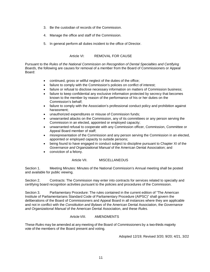- 3. Be the custodian of records of the Commission.
- 4. Manage the office and staff of the Commission.
- 5. In general perform all duties incident to the office of Director.

# Article VI: REMOVAL FOR CAUSE

Pursuant to the *Rules of the National Commission on Recognition of Dental Specialties and Certifying Boards*, the following are causes for removal of a member from the Board of Commissioners or Appeal Board:

- continued, gross or willful neglect of the duties of the office;
- failure to comply with the Commission's policies on conflict of interest;
- failure or refusal to disclose necessary information on matters of Commission business;
- failure to keep confidential any exclusive information protected by secrecy that becomes known to the member by reason of the performance of his or her duties on the Commission's behalf;
- failure to comply with the Association's professional conduct policy and prohibition against harassment;
- unauthorized expenditures or misuse of Commission funds:
- unwarranted attacks on the Commission, any of its committees or any person serving the Commission in an elected, appointed or employed capacity;
- unwarranted refusal to cooperate with any Commission officer, Commission, Committee or Appeal Board member of staff;
- misrepresentation of the Commission and any person serving the Commission in an elected, appointed or employed capacity to outside persons;
- being found to have engaged in conduct subject to discipline pursuant to Chapter XI of the *Governance and Organizational Manual* of the American Dental Association; and
- conviction of a felony.

Article VII. MISCELLANEOUS

Section 1. Meeting Minutes: Minutes of the National Commission's Annual meeting shall be posted and available for public viewing.

Section 2. Contracts: The Commission may enter into contracts for services related to specialty and certifying board recognition activities pursuant to the policies and procedures of the Commission.

Section 3. Parliamentary Procedure: The rules contained in the current edition of "The American Institute of Parliamentarians Standard Code of Parliamentary Procedure (AIPSC)" shall govern the deliberations of the Board of Commissioners and Appeal Board in all instances where they are applicable and not in conflict with the *Constitution and Bylaws* of the American Dental Association, the *Governance and Organizational Manual* of the American Dental Association, and these *Rules.*

#### Article VIII. AMENDMENTS

These *Rules* may be amended at any meeting of the Board of Commissioners by a two-thirds majority vote of the members of the Board present and voting.

Adopted 12/19; Revised 3/20; 9/20; 4/21, 3/22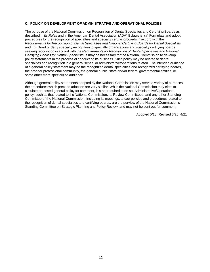# **C. POLICY ON DEVELOPMENT OF ADMINISTRATIVE AND OPERATIONAL POLICIES**

The purpose of the National Commission on Recognition of Dental Specialties and Certifying Boards as described in its *Rules* and in the American Dental Association (ADA) Bylaws is: (a) Formulate and adopt procedures for the recognition of specialties and specialty certifying boards in accord with the *Requirements for Recognition of Dental Specialties and National Certifying Boards for Dental Specialists* and; (b) Grant or deny specialty recognition to specialty organizations and specialty certifying boards seeking recognition in accord with the *Requirements for Recognition of Dental Specialties and National Certifying Boards for Dental Specialists*. It may be necessary for the National Commission to develop policy statements in the process of conducting its business. Such policy may be related to dental specialties and recognition in a general sense, or administrative/operations related. The intended audience of a general policy statement may be the recognized dental specialties and recognized certifying boards, the broader professional community, the general public, state and/or federal governmental entities, or some other more specialized audience.

Although general policy statements adopted by the National Commission may serve a variety of purposes, the procedures which precede adoption are very similar. While the National Commission may elect to circulate proposed general policy for comment, it is not required to do so. Administrative/Operational policy, such as that related to the National Commission, its Review Committees, and any other Standing Committee of the National Commission, including its meetings, and/or policies and procedures related to the recognition of dental specialties and certifying boards, are the purview of the National Commission's Standing Committee on Strategic Planning and Policy Review, and may not be sent out for comment.

Adopted 5/18; Revised 3/20, 4/21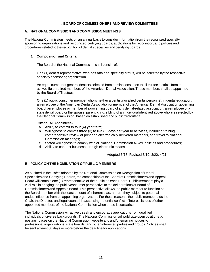# <span id="page-12-0"></span>**II. BOARD OF COMMISSIONERS AND REVIEW COMMITTEES**

#### **A. NATIONAL COMMISSION AND COMMISSION MEETINGS**

The National Commission meets on an annual basis to consider information from the recognized specialty sponsoring organizations and recognized certifying boards, applications for recognition, and policies and procedures related to the recognition of dental specialties and certifying boards.

#### **1. Composition and Criteria**

The Board of the National Commission shall consist of:

One (1) dentist representative, who has attained specialty status, will be selected by the respective specialty sponsoringorganization.

An equal number of general dentists selected from nominations open to all trustee districts from the active, life or retired members of the American Dental Association. These members shall be appointed by the Board of Trustees.

One (1) public consumer member who is neither a dentist nor allied dental personnel, in dental education, an employee of the American Dental Association or member of the AmericanDental Association governing board; an employee or member of a governing board of any dental-related association, an employee of a state dental board or the spouse, parent, child, sibling of an individual identified above who are selected by the National Commission, based on established and publicized criteria.

Criteria (All Appointees)

.

- a. Ability to commit to four (4) year term;
- b. Willingness to commit three (3) to five (5) days per year to activities, including training, comprehensive review of print and electronically delivered materials, and travel to National Commission meetings;
- c. Stated willingness to comply with all National Commission *Rules*, policies and procedures;
- d. Ability to conduct business through electronic means.

Adopted 5/18; Revised 3/19, 3/20, 4/21

# **B. POLICY ON THE NOMINATION OF PUBLIC MEMBERS**

As outlined in the *Rules* adopted by the National Commission on Recognition of Dental Specialties and Certifying Boards, the composition of the Board of Commissioners and Appeal Board will contain one (1) representative of the public on each Board. Public members play a vital role in bringing the public/consumer perspective to the deliberations of Board of Commissioners and Appeals Board. This perspective allows the public member to function as the Board member with the least amount of inherent bias, nor are they subject to potential undue influence from an appointing organization. For these reasons, the public member aids the Chair, the Director, and legal counsel in assessing potential conflict of interest issues of other appointed members of the National Commission when those issues arise.

The National Commission will actively seek and encourage applications from qualified individuals of diverse backgrounds. The National Commission will publicize open positions by posting notices on the National Commission website and and/or emailing notices to professional organizations, state boards, and other interested parties and groups. Notices shall be sent at least 60 days or more before the deadline for applications.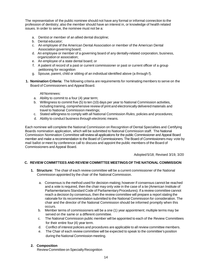The representative of the public nominee should not have any formal or informal connection to the profession of dentistry; also the member should have an interest in, or knowledge of health related issues. In order to serve, the nominee must not be a:

- a. Dentist or member of an allied dental discipline;
- b. Dental educator;
- c. An employee of the American Dental Association or member of the American Dental Association governing board;
- d. An employee or member of a governing board of any dentally-related corporation, business, organization or association;
- e. An employee of a state dental board; or
- f. A patient of record of a past or current commissioner or past or current officer of a group petitioning for recognition
- g. Spouse, parent, child or sibling of an individual identified above (a through f).
- **1. Nomination Criteria:** The following criteria are requirements for nominating members to serve on the Board of Commissioners and Appeal Board.

All Nominees:

- a. Ability to commit to a four (4) year term;
- b. Willingness to commit five (5) to ten (10) days per year to National Commission activities, including training, comprehensive review of print and electronically delivered materials and travel to National Commission meetings;
- c. Stated willingness to comply with all National Commission *Rules*, policies and procedures;
- d. Ability to conduct business through electronic means.

Each nominee will complete the National Commission on Recognition of Dental Specialties and Certifying Boards nomination application, which will be submitted to National Commission staff. The National Commission Nomination Committee willreview all applications for the public Commissioner and Appeal Board member and make a recommendation to the Board of Commissioners. The Board of Commissioners may vote by mail ballot or meet by conference call to discuss and appoint the public members of the Board of Commissioners and Appeal Board.

Adopted 5/18; Revised 3/19, 3/20

# **C. REVIEW COMMITTEES AND REVIEW COMMITTEE MEETINGSOFTHE NATIONAL COMMISSION**

- **1. Structure:** The chair of each review committee will be a current commissioner of the National Commission appointed by the chair of the National Commission.
	- a. Consensus is the method used for decision-making; however if consensus cannot be reached and a vote is required, then the chair may only vote in the case of a tie (American Institute of Parliamentarians Standard Code of Parliamentary Procedures). If a review committee cannot reach a decision by consensus, then the review committee will prepare a report stating the rationale for its recommendation submitted to the National Commission for consideration. The chair and the director of the National Commission should be informed promptly when this occurs.
	- b. Member terms of commissioners will be a one (1) year appointment; multiple terms may be served on the same or a different committee.
	- c. The National Commission public member will be appointed to each of the Review Committees for their entire four (4) year term.
	- d. Conflict of interest policies and procedures are applicable to all review committee members.
	- e. The Chair of each review committee will be expected to speak to the committee's position during the National Commission meeting.

# **2. Composition**

Review Committee on Specialty Recognition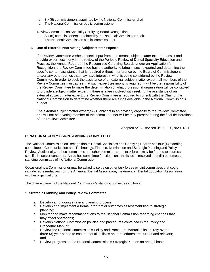- a. Six (6) commissioners appointed by the National Commissionchair
- b. The National Commission public commissioner

Review Committee on SpecialtyCertifying Board Recognition

- a. Six (6) commissioners appointed by the National Commission chair
- b. The National Commission public commissioner

# **3. Use of External Non-Voting Subject Matter Experts**

If a Review Committee wishes to seek input from an external subject matter expert to assist and provide expert testimony in the review of the Periodic Review of Dental Specialty Education and Practice, the Annual Report of the Recognized Certifying Boards and/or an Application for Recognition, the Review Committee has the authority to bring in such expert(s) and determine the specific content assistance that is required without interference by the Board of Commissioners and/or any other parties that may have interest in what is being considered by the Review Committee. In order to seek the assistance of an external subject matter expert, all members of the Review Committee must agree that such expert testimony is required. It will be the responsibility of the Review Committee to make the determination of what professional organization will be contacted to provide a subject matter expert. If there is a fee involved with seeking the assistance of an external subject matter expert, the Review Committee is required to consult with the Chair of the National Commission to determine whether there are funds available in the National Commission's budget.

 The external subject matter expert(s) will only act in an advisory capacity to the Review Committee and will not be a voting member of the committee, nor will be they present during the final deliberations of the Review Committee.

Adopted 5/18; Revised 3/19, 3/20, 9/20; 4/21

# **D. NATIONAL COMMISSION STANDING COMMITTEES**

The National Commission on Recognition of Dental Specialties and Certifying Boards has four (4) standing committees: Communication and Technology, Finance, Nomination and Strategic Planning and Policy Review. Additionally, ad hoc committees and other committees and task forces may be formed to address specific issues or concerns. An ad hoc committee functions until the issue is resolved or until it becomes a standing committee of the National Commission.

Occasionally, a Commissioner may be asked to serve on other task forces or joint committees that could include representatives from the American Dental Association, the American Dental Education Association or other organizations.

The charge to each of the National Commission's standing committees follows:

#### **1. StrategicPlanning and Policy Review Committee**

- a. Develop an ongoing strategic planning process;
- b. Develop and implement a formal program of outcomes assessment tied to strategic planning;
- c. Monitor and make recommendations to the National Commission regarding changes that may affect operations;
- d. Develop National Commission policies and procedures contained in the Policy and Procedure Manual;
- e. Review the National Commission's Policy and Procedure Manual in its entirety over a three (3) year period to ensure that all policies and procedures are current and relevant; and
- f. Review progress on the National Commission's Strategic Plan on an annual basis.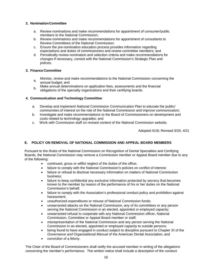# **2. NominationCommittee**

- a. Review nominations and make recommendations for appointment of consumer/public members to the National Commission;
- b. Review nominations and make recommendations for appointment of consultants to Review Committees of the National Commission;
- c. Ensure the pre-nomination education process provides information regarding expectations and duties of commissioners and review committee members; and
- d. Periodically review nomination and selection criteria and make recommendations for changes if necessary, consist with the National Commission's Strategic Plan and polices.

# **3. Finance Committee**

- a. Monitor, review and make recommendations to the National Commission concerning the annual budget; and
- b. Make annual determinations on application fees, assessments and the financial<br>b. The financial state as a sight correspondence and their earlifeing beards. obligations of the specialty organizations and their certifying boards.

# **4. Communication and Technology Committee**

- a. Develop and implement National Commission Communication Plan to educate the public/ communities of interest on the role of the National Commission and improve communication;
- b. Investigate and make recommendations to the Board of Commissioners on development and costs related to technology upgrades; and
- c. Work with Commission staff on revised content of the National Commission website.

Adopted 5/18; Revised 3/20, 4/21

# **E. POLICY ON REMOVAL OF NATIONAL COMMISSION AND APPEAL BOARD MEMBERS**

 Pursuant to the *Rules* of the National Commission on Recognition of Dental Specialties and Certifying Boards, the National Commission may remove a Commission member or Appeal Board member due to any of the following:

- continued, gross or willful neglect of the duties of the office;
- failure to comply with the National Commission's policies on conflict of interest;
- failure or refusal to disclose necessary information on matters of National Commission business;
- failure to keep confidential any exclusive information protected by secrecy that becomes known to the member by reason of the performance of his or her duties on the National Commission's behalf;
- failure to comply with the Association's professional conduct policy and prohibition against harassment;
- unauthorized expenditures or misuse of National Commission funds;
- unwarranted attacks on the National Commission, any of its committees or any person serving the National Commission in an elected, appointed or employed capacity;
- unwarranted refusal to cooperate with any National Commission officer, National Commission, Committee or Appeal Board member or staff;
- misrepresentation of the National Commission and any person serving the National Commission in an elected, appointed or employed capacity to outside persons;
- being found to have engaged in conduct subject to discipline pursuant to Chapter XI of the *Governance and Organizational Manual* of the American Dental Association; and
- conviction of a felony.

 The Chair of the Board of Commissioners shall notify the accused member in writing of the allegations concerning the member's performance. The written notice shall include a description of the conduct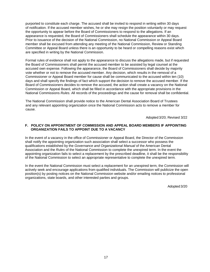purported to constitute each charge. The accused shall be invited to respond in writing within 30 days of notification. If the accused member wishes, he or she may resign the position voluntarily or may request the opportunity to appear before the Board of Commissioners to respond to the allegations. If an appearance is requested, the Board of Commissioners shall schedule the appearance within 30 days. Prior to issuance of the decision of the National Commission, no National Commission or Appeal Board member shall be excused from attending any meeting of the National Commission, Review or Standing Committee or Appeal Board unless there is an opportunity to be heard or compelling reasons exist which are specified in writing by the National Commission.

 Formal rules of evidence shall not apply to the appearance to discuss the allegations made, but if requested the Board of Commissioners shall permit the accused member to be assisted by legal counsel at the accused own expense. Following the appearance, the Board of Commissioners shall decide by majority vote whether or not to remove the accused member. Any decision, which results in the removal of a Commissioner or Appeal Board member for cause shall be communicated to the accused within ten (10) days and shall specify the findings of fact which support the decision to remove the accused member. If the Board of Commissioners decides to remove the accused, the action shall create a vacancy on the National Commission or Appeal Board, which shall be filled in accordance with the appropriate provisions in the National Commissions *Rules.* All records of the proceedings and the cause for removal shall be confidential.

 The National Commission shall provide notice to the American Dental Association Board of Trustees and any relevant appointing organization once the National Commission acts to remove a member for cause.

Adopted 3/20; Revised 3/22

# **F. POLICY ON APPOINTMENT OF COMMISSION AND APPEAL BOARD MEMBERS IF APPOINTING ORGANIZATION FAILS TO APPOINT DUE TO A VACANCY**

In the event of a vacancy in the office of Commissioner or Appeal Board, the Director of the Commission shall notify the appointing organization such association shall select a successor who possess the qualifications established by the *Governance and Organizational Manual* of the American Dental Association and the *Rules* of the National Commission to complete the unexpired term. In the event the appointing organization fails to select a replacement by the prescribed deadline, it shall be the responsibility of the National Commission to select an appropriate representative to complete the unexpired term.

In the event the National Commission must select a replacement for an unexpired term, the Commission will actively seek and encourage applications from qualified individuals. The Commission will publicize the open position(s) by posting notices on the National Commission website and/or emailing notices to professional organizations, state boards, and other interested parties and groups.

Adopted 3/20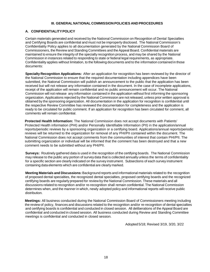#### **III. GENERAL NATIONAL COMMISSION POLICIES ANDPROCEDURES**

# <span id="page-17-0"></span>**A. CONFIDENTIALITYPOLICY**

Certain materials generated and received by the National Commission on Recognition of Dental Specialties and Certifying Boards are confidential and must not be improperly disclosed. The National Commission's Confidentiality Policy applies to all documentation generated by the National Commission Board of Commissioners, the Review and Standing Committees and the Appeal Board. Confidential materials are maintained to ensure the integrity of the specialty recognition process, and may be shared by the National Commission in instances related to responding to state or federal legal requirements, as appropriate. Confidentiality applies without limitation, to the following documents and to the information contained in those documents:

**Specialty Recognition Applications:** After an application for recognition has been reviewed by the director of the National Commission to ensure that the required documentation including appendices have been submitted, the National Commission will publish an announcement to the public that the application has been received but will not release any information contained in the document. In the case of incomplete applications, receipt of the application will remain confidential and no public announcement will occur. The National Commission will not release any information contained in the application without first informing the sponsoring organization. Applications rejected by the National Commission are not released, unless prior written approval is obtained by the sponsoring organization. All documentation in the application for recognition is confidential until the respective Review Committee has reviewed the documentation for completeness and the application is ready to be circulated for public comment. If an application for recognition has been circulated for comment, all comments will remain confidential.

 **Protected Health Information:** The National Commission does not accept documents with Patients' Protected Health information (PHI) and/or Personally Identifiable Information (PII) in the application/annual reports/periodic reviews by a sponsoring organization or a certifying board. Applications/annual reports/periodic reviews will be returned to the organization for removal of any PHI/PII contained within the document. The National Commission does not accept comments from the communities of interest that contain PHI/PII. The submitting organization or individual will be informed that the comment has been destroyed and that a new comment needs to be submitted without any PHI/PII.

**Surveys:** Routinely gathered data is used in the recognition of the certifying boards. The National Commission may release to the public any portion of survey data that is collected annually unless the terms of confidentiality for a specific section are clearly indicated on the survey instrument. Subsections of each survey instrument containing data elements which are confidential are clearly marked.

**Meeting Materials and Discussions:** Background reports and informational materials related to the recognition of proposed dental specialties, the recognized dental specialties, proposed certifying boards and the recognized certifying boards are regularly prepared for review by the National Commission. These materials and all discussions related to recognition and/or re-recognition shall remain confidential. The National Commission determines when, and the manner in which, newly adopted policy and informational reports will receive public distribution.

**Meetings:** All business conducted during the National Commission Board of Commissioners meeting including the review of policy, finances and discussions related to the recognition and/or re-recognition of dental specialties and certifying boards is confidential and conducted in closed session. All deliberations of the Appeal Board are confidential and conducted in closed session. All business conducted during Review and Standing Committee meetings is confidential and conducted in closed session.

Adopted 5/18; Revised 3/19, 3/20, 3/22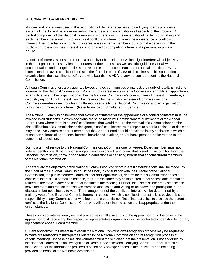# **B. CONFLICT OF INTEREST POLICY**

Policies and procedures used in the recognition of dental specialties and certifying boards provides a system of checks and balances regarding the fairness and impartiality in all aspects of the process. A central component of the National Commission's operations is the impartiality of its decision-making and each member's personal duty to avoid real conflicts of interest or even the appearance of conflicts of interest. The potential for a conflict of interest arises when a member's duty to make decisions in the public's or professions best interest is compromised by competing interests of a personal or private nature.

A conflict of interest is considered to be a partiality or bias, either of which might interfere with objectivity in the recognition process. Clear procedures for due process, as well as strict guidelines for all written documentation and recognition decisions reinforce adherence to transparent and fair practices. Every effort is made to avoid conflict of interest, either from the point of view of discipline-specific sponsoring organizations, the discipline-specific certifying boards, the ADA, or any person representing the National Commission.

Although Commissioners are appointed by designated communities of interest, their duty of loyalty is first and foremost to the National Commission. A conflict of interest exists when a Commissioner holds an appointment as an officer in another organization within the National Commission's communities of interest. Therefore, a disqualifying conflict of interest would be presented by the situation wherein a Commissioner or a Commissioner-designee provides simultaneous service to the National Commission and an organization within the communities of interest. (Refer to Policy on Simultaneous Service)

The National Commission believes that a conflict of interest or the appearance of a conflict of interest must be avoided in all situations in which decisions are being made by Commissioners or members of the Appeal Board. Even where there is no conflict of interest that would require the removal of a Commissioner or the disqualification of a Commissioner-designee, a conflict of interest with respect to a particular issue or decision may arise. No Commissioner or member of the Appeal Board should participate in any decisions in which he or she has a financial or personal interest, has divided loyalties, and/or has a personal stake related to the outcome of a decision.

During a term of service to the National Commission, a Commissioner or Appeal Board member, must not independently consult with a sponsoring organization or certifying board that is seeking recognition from the National Commission, nor with sponsoring organizations or certifying boards that appoint current members to the National Commission.

To safeguard the objectivity of the National Commission, conflict of interest determinations shall be made by the Chair of the National Commission. If the Chair, in consultation with the Director of the National Commission, the public member Commissioner and legal counsel, determine that a Commissioner has a conflict of interest in a particular instance, the Commissioner may be instructed to not access documentation related to the topic in advance of nor at the time of the meeting. Further, the Commissioner may be asked to leave the room and recuse themselves from the discussion and voting or be allowed to participate in the discussion but not allowed to vote. The management of the conflict of interest will be determined by a majority vote of the Board of Commissioners. In cases in which a conflict of interest is less obvious, it is the responsibility of any Commissioner who feels that a potential conflict of interest exists to disclose the potential conflict to the National Commission Chair, who will determine the action that is appropriate under the circumstances.

These conflict of interest analyses and procedures shall also apply to the Appeal Board. In the case of the Appeal Board, if necessary, the respective representative organization will be contacted to identify a temporary replacement Appeal Board member.

Current and former volunteers involved in the National Commission's recognition process may be requested to make presentations to third-parties related to the National Commission and its recognition process at various meetings. In these cases, the volunteer must make it clear that the presentation is not endorsed by the National Commission on Recognition of Dental Specialties and Certifying Boards. Further, it must be made clear that the information provided is based only on experiences of the individual and not being provided on behalf of the National Commission.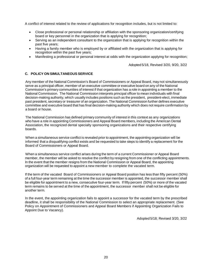A conflict of interest related to the review of applications for recognition includes, but is not limited to:

- Close professional or personal relationship or affiliation with the sponsoring organization/certifying board or key personnel in the organization that is applying for recognition;
- Serving as an independent consultant to the organization that is applying for recognition within the past five years;
- Having a family member who is employed by or affiliated with the organization that is applying for recognition within the past five years;
- Manifesting a professional or personal interest at odds with the organization applying for recognition;

Adopted 5/18, Revised 3/20, 9/20, 3/22

# **C. POLICY ON SIMULTANEOUS SERVICE**

Any member of the National Commission's Board of Commissioners or Appeal Board, may not simultaneously serve as a principal officer, member of an executive committee or executive board on any of the National Commission's primary communities of interest if that organization has a role in appointing a member to the National Commission. The National Commission interprets principal officer to mean individuals with final decision-making authority, which usually includes positions such as the president, president-elect, immediate past president, secretary or treasurer of an organization. The National Commission further defines executive committee and executive board that has final decision-making authority which does not require confirmation by a board or house.

The National Commission has defined primary community of interest in this context as any organizations who have a role in appointing Commissioners and Appeal Board members, including the American Dental Association, the recognized dental specialty sponsoring organizations and their respective certifying boards.

When a simultaneous service conflict is revealed prior to appointment, the appointing organization will be informed that a disqualifying conflict exists and be requested to take steps to identify a replacement for the Board of Commissioners or Appeal Board.

When a simultaneous service conflict arises during the term of a current Commissioner or Appeal Board member, the member will be asked to resolve the conflict by resigning from one of the conflicting appointments. In the event that the member resigns from the National Commission or Appeal Board, the appointing organization will be requested to appoint a new member to complete the vacated term.

If the term of the vacated Board of Commissioners or Appeal Board position has less than fifty percent (50%) of a full four-year term remaining at the time the successor member is appointed, the successor member shall be eligible for appointment to a new, consecutive four-year term. If fifty percent (50%) or more of the vacated term remains to be served at the time of the appointment, the successor member shall not be eligible for another term.

In the event, the appointing organization fails to appoint a successor for the vacated term by the prescribed deadline, it shall be responsibility of the National Commission to select an appropriate replacement. (See Policy on Appointment of Commissioners and Appeal Board Members if Appointing Organization Fails to Appoint Due to Vacancy).

Adopted 5/18; Revised 3/20, 3/22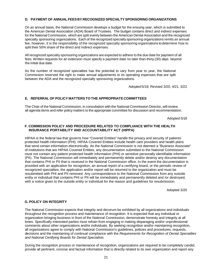# **D. PAYMENT OF ANNUAL FEES BY RECOGNIZED SPECIALTY SPONSORING ORGANIZATIONS**

On an annual basis, the National Commission develops a budget for the ensuing year, which is submitted to the American Dental Association (ADA) Board of Trustees. The budget contains direct and indirect expenses for the National Commission, which are split evenly between the American Dental Association and the recognized specialty sponsoring organizations. Each of the recognized specialty sponsoring organizations remits an annual fee; however, it is the responsibility of the recognized specialty sponsoring organizations to determine how to split their 50% share of the direct and indirect expenses.

All recognized specialty sponsoring organizations are expected to adhere to the due date for payment of all fees. Written requests for an extension must specify a payment date no later than thirty (30) days beyond the initial due date.

As the number of recognized specialties has the potential to vary from year to year, the National Commission reserved the right to make annual adjustments to its operating expenses that are split between the ADA and the recognized specialty sponsoring organizations.

Adopted 5/18; Revised 3/20, 4/21, 3/22

# **E. REFERRAL OF POLICY MATTERSTO THE APPROPRIATE COMMITTEES**

The Chair of the National Commission, in consultation with the National Commission Director, will review all agenda items and refer policy matters to the appropriate committee for discussion and recommendation.

Adopted 5/18

# **F. COMMISSION POLICY AND PROCEDURE RELATED TO COMPLIANCE WITH THE HEALTH INSURANCE PORTABILITY AND ACCOUNTABILITY ACT (HIPPA)**

HIPAA is the federal law that governs how "Covered Entities" handle the privacy and security of patients' protected health information (PHI). HIPAA Covered Entities include health care providers and health plans that send certain information electronically. As the National Commission is not deemed a "Business Associate" of institutions that are HIPAA Covered Entities, any documentation submitted to the National Commission must not contain any patient protected health information (PHI) or sensitive personally identifiable information (PII). The National Commission will immediately and permanently delete and/or destroy any documentation that contains PHI or PII that is received in the National Commission office. In the event the documentation is provided with an application for recognition, an annual report of a certifying board, or the periodic review of recognized specialties, the application and/or report will be returned to the organization and must be resubmitted with PHI and PII removed. Any correspondence to the National Commission from any outside entity or individual that contains PHI or PII will be immediately and permanently deleted and /or destroyed, with a notice given to the outside entity or individual for the reason and guidelines for resubmission.

Adopted 3/20

# **G. POLICY ON INTEGRITY**

 The National Commission expects that integrity and decorum be exhibited by all organizations and individuals throughout the recognition process and maintenance of recognition. It is expected that any individual or organization bringing business in front of the National Commission, demonstrate honesty and integrity at all times. Specifically interested parties must refrain from engaging in making disparaging and/or unprofessional comments about other organizations and/or individuals. By seeking recognition and/or maintaining recognition, all organizations agree to comply with National Commission's guidelines, policies and procedures, requests, decisions and the maintaining of continual compliance with the *Requirements for Recognition of Dental Specialties and National Certifying Boards for Dental Specialists*.

 During the recognition process or maintenance of recognition, organizations are required to be completely candid, provide all pertinent, concise and factual information that is directly related to its own organization and report any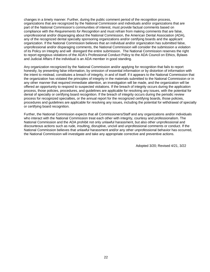changes in a timely manner. Further, during the public comment period of the recognition process, organizations that are recognized by the National Commission and individuals and/or organizations that are part of the National Commission's communities of interest, must provide factual comments based on compliance with the *Requirements for Recognition* and must refrain from making comments that are false, unprofessional and/or disparaging about the National Commission, the American Dental Association (ADA), any of the recognized dental specialty sponsoring organizations and/or certifying boards and the applicant organization. If the National Commission believes that an individual and/or organization has submitted false, unprofessional and/or disparaging comments, the National Commission will consider the submission a violation of its Policy on Integrity and will disregard the entire submission. The National Commission reserves the right to report egregious violations of the ADA's Professional Conduct Policy to the ADA Council on Ethics, Bylaws and Judicial Affairs if the individual is an ADA member in good standing.

Any organization recognized by the National Commission and/or applying for recognition that fails to report honestly, by presenting false information, by omission of essential information or by distortion of information with the intent to mislead, constitutes a breach of integrity, in and of itself. If it appears to the National Commission that the organization has violated the principles of integrity in the materials submitted to the National Commission or in any other manner that required immediate attention, an investigation will be made, and the organization will be offered an opportunity to respond to suspected violations. If the breach of integrity occurs during the application process, those policies, procedures, and guidelines are applicable for resolving any issues, with the potential for denial of specialty or certifying board recognition. If the breach of integrity occurs during the periodic review process for recognized specialties, or the annual report for the recognized certifying boards, those policies, procedures and guidelines are applicable for resolving any issues, including the potential for withdrawal of specialty or certifying board recognition.

Further, the National Commission expects that all Commissioners/Staff and any organizations and/or individuals who interact with the National Commission treat each other with integrity, courtesy and professionalism. The National Commission and the ADA prohibit not only unlawful harassment, but also other unprofessional and discourteous actions such as rude, insulting, disruptive, uncivil and unprofessional comments or conduct. If the National Commission believes that unlawful harassment and/or any other unprofessional behavior has occurred, the National Commission will investigate and take any appropriate corrective and preventive actions.

Adopted 3/20; Revised 4/21, 3/22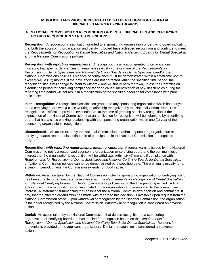#### **IV. POLICIES AND PROCEDURES RELATED TO THE RECOGNITION OF DENTAL SPECIALTIES ANDCERTIFYING BOARDS**

# <span id="page-22-0"></span>**A. NATIONAL COMMISSION ON RECOGNITION OF DENTAL SPECIALTIES AND CERTIFYING BOARDS RECOGNITION STATUS DEFINITIONS**

**Recognition:** A recognition classification granted to a sponsoring organization or certifying board indicating that both the sponsoring organization and certifying board have achieved recognition and continue to meet the *Requirements for Recognition of Dental Specialties and National Certifying Boards for Dental Specialists* and the National Commissions policies.

**Recognition** *with reporting requirements***:** A recognition classification granted to organizations indicating that specific deficiencies or weaknesses exist in one or more of the *Requirements for Recognition of Dental Specialties and National Certifying Boards for Dental Specialists* and/or the National Commissions policies. Evidence of compliance must be demonstrated within a timeframe not to exceed twelve (12) months. If the deficiencies are not corrected within the specified time period, the recognition status will change to intent to withdraw and will finally be withdrawn, unless the Commission extends the period for achieving compliance for good cause. Identification of new deficiencies during the reporting time period will not result in a modification of the specified deadline for compliance with prior deficiencies.

**Initial Recognition**: A recognition classification granted to any sponsoring organization which has not yet had a certifying board with a close working relationship recognized by the National Commission. This recognition classification provides evidence that, at the time of granting specialty recognition, it the expectation of the National Commission that an application for recognition will be submitted by a certifying board that has a close working relationship with the sponsoring organization within one (1) year of the sponsoring organizations' recognition.

**Discontinued**: An action taken by the National Commission to affirm a sponsoring organization or certifying boards reported discontinuance of participation in the National Commission's recognition program.

**Recognition,** *with reporting requirements***,** *intent to withdraw*: A formal warning issued by the National Commission to notify a recognized sponsoring organization or certifying board and the communities of interest that the organization's recognition will be withdrawn within six (6) months if compliance with *Requirements for Recognition of Dental Specialties and National Certifying Boards for Dental Specialists* or National Commission policies cannot be demonstrated by a specified date. The warning is usually for a six-month period, unless the Commission extends for good cause.

**Withdraw**: An action taken by the National Commission when a sponsoring organization or certifying board has been unable to demonstrate compliance with the *Requirements for Recognition of Dental Specialties and National Certifying Boards for Dental Specialists* or policies within the time period specified. A final action to withdraw recognition is communicated to the organization and announced to the communities of interest. A statement summarizing the reasons for the National Commission's decision and comments, if any, that the affected organization has made with regard to this decision, is available upon request from the National Commission office. Upon withdrawal of recognition by the National Commission, the organization is no longer recognized by the National Commission. Withdrawal of recognition is considered an adverse action.

**Denial:** An action taken by the National Commission that denies recognition to a sponsoring organization or certifying board that has applied for recognition based on the *Requirements for Recognition of Dental Specialties and National Certifying Boards for Dental Specialists*. Reasons for the denial is provided to the applicant organization. Denial of recognition is considered an adverse action.

Adopted 3/20; Revised 3/22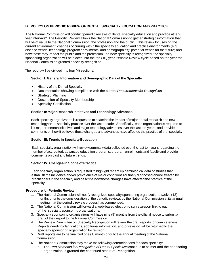# **B. POLICY ON PERIODIC REVIEW OF DENTAL SPECIALTY EDUCATION AND PRACTICE**

The National Commission will conduct periodic reviews of dental specialty education and practice at tenyear intervals\*. The Periodic Review allows the National Commission to gather strategic information that will be of value to the National Commission, the profession and the public. This review focuses on the current environment; changes occurring within the specialty education and practice environments (e.g., disease trends, technology, program enrollments, and demographics); potential trends for the future; and how these may impact the public and the profession. If a new specialty is recognized, the specialty sponsoring organization will be placed into the ten (10) year Periodic Review cycle based on the year the National Commission granted specialty recognition.

The report will be divided into four (4) sections:

# **Section I: General Information and Demographic Data of the Specialty**

- History of the Dental Specialty
- Documentation showing compliance with the current *Requirements for Recognition*
- Strategic Planning
- Description of Specialty Membership
- Specialty Certification

#### **Section II: Major Research Initiatives and Technology Advances**

Each specialty organization is requested to examine the impact of major dental research and new technology on its specialty practice over the last decade. Specifically, each organization is required to list major research initiatives and major technology advances over the last ten years, and provide comments on how it believes these changes and advances have affected the practice of the specialty.

#### **Section III: Trends in SpecialtyEducation**

Each specialty organization will review summary data collected over the last ten years regarding the number of accredited, advanced education programs, program enrollments and faculty and provide comments on past and future trends.

#### **Section IV: Changes in Scope of Practice**

Each specialty organization is requested to highlight recent epidemiological data or studies that establish the incidence and/or prevalence of major conditions routinely diagnosed and/or treated by practitioners in the specialty and describe how these changes have affected the practice of the specialty.

# **Procedure for Periodic Review:**

- 1. The National Commission will notify recognized specialty sponsoring organizations twelve (12) months prior to the consideration of the periodic reviews by the National Commission at its annual meeting that the periodic review process has commenced.
- 2. The National Commission will forward a web-based electronic survey/report link to each of the specialtysponsoringorganizations.
- 3. Specialty sponsoring organizations will have nine (9) months from the official notice to submit a draft of their report to the National Commission.
- 4. The Review Committee on Specialty Recognition will review the draft reports for completeness. Reports needing clarifications, additional information, and/or revision will be returned to the specialty sponsoring organization for revision.
- 5. Draft reports are to be finalized one (1) month prior to the annual meeting of the National Commission.
- 6. The National Commission may make the following determinations for each specialty:
	- a. The *Requirements for Recognition of Dental Specialties* continue to be met and the sponsoring organization is granted the continued status of Recognition.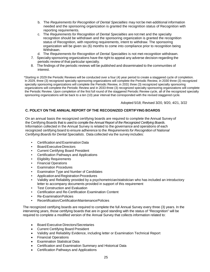- b. The *Requirements for Recognition of Dental Specialties* may not be met-additional information needed and the sponsoring organization is granted the recognition status of Recognition with reporting requirements.
- c. The *Requirements for Recognition of Dental Specialties* are not met and the specialty recognition should be withdrawn and the sponsoring organization is granted the recognition status of Recognition, with reporting requirements, intent to withdraw. The sponsoring organization will be given six (6) months to come into compliance prior to recognition being Withdrawn.
- d. The *Requirements for Recognition of Dental Specialties* is not met-recognition withdrawn.
- 7. Specialty sponsoring organizations have the right to appeal any adverse decision regarding the periodic review of that particular specialty.
- 8. The findings of the periodic reviews will be published and disseminated to the communities of interest.

\*Starting in 2029 the Periodic Reviews will be conducted over a four (4) year period to create a staggered cycle of completion. In 2029, three (3) recognized specialty sponsoring organizations will complete the Periodic Review, in 2030 three (3) recognized specialty sponsoring organizations will complete the Periodic Review, in 2031 three (3) recognized specialty sponsoring organizations will complete the Periodic Review and in 2033 three (3) recognized specialty sponsoring organizations will complete the Periodic Review. Upon completion of the first full round of the staggered Periodic Review cycle, all of the recognized specialty sponsoring organizations will be back to a ten (10) year interval that corresponded with the revised staggered cycle.

Adopted 5/18; Revised 3/20, 9/20, 4/21, 3/22

# **C. POLICY ON THE ANNUAL REPORT OF THE RECOGNIZED CERTIFYING BOARDS**

On an annual basis the recognized certifying boards are required to complete the Annual Survey of the Certifying Boards that is used to compile the *Annual Report of the Recognized Certifying Boards*. Information collected in the Annual Survey is related to the governance and operations of each recognized certifying board to ensure adherence to the *Requirements for Recognition of National Certifying Boards for Dental Specialists*. Data collected via the survey includes:

- Certification andExamination Data
- **Board Executive Directors**
- Current Certifying Board President
- Certification Pathways and Applications
- Eligibility Requirements
- Financial Operations
- Examination Procedures
- Examination Type and Number of Candidates
- Application and Registration Procedures
- Validity and Reliability provided by a psychometrician/statistician who has included an introductory letter to accompany documents provided in support of this requirement
- Test Construction and Evaluation
- Certification and Re-Certification Examination Content
- Re-ExaminationPolicies
- Recertification/CertificationMaintenancePolicies

The recognized certifying boards are required to complete the full Annual Survey every three (3) years. In the intervening years, those certifying boards that are in good standing with the status of "Recognition" will be required to complete a modified version of the Annual Survey that collects information related to:

- Board Executive Directors/Secretaries
- Current Certifying Board President
- Validity and Reliability Evidence, including letter or Examination Technical Report
- Financial Operations
- Examination Statistical Data
- Certification and Examination Summary and Historical Data
- Certification Pathways and Applications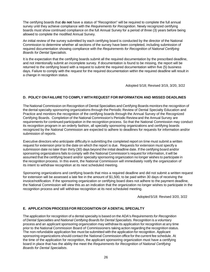The certifying boards that **do not** have a status of "Recognition" will be required to complete the full annual survey until they achieve compliance with the *Requirements for Recognition*. Newly recognized certifying boards must show continued compliance on the full Annual Survey for a period of three (3) years before being allowed to complete the modified Annual Survey.

An initial review of the survey submitted by each certifying board is conducted by the director of the National Commission to determine whether all sections of the survey have been completed, including submission of required documentation showing compliance with the *Requirements for Recognition of National Certifying Boards for Dental Specialists*.

It is the expectation that the certifying boards submit all the required documentation by the prescribed deadline, and not intentionally submit an incomplete survey. If documentation is found to be missing, the report will be returned to the certifying board with a request to submit the required documentation within five (5) business days. Failure to comply with the request for the required documentation within the required deadline will result in a change in recognition status.

Adopted 5/18; Revised 3/19, 3/20, 3/22

# **D. POLICY ON FAILURE TO COMPLY WITH REQUEST FOR INFORMATION AND MISSED DEADLINES**

The National Commission on Recognition of Dental Specialties and Certifying Boards monitors the recognition of the dental specialty sponsoring organizations through the Periodic Review of Dental Specialty Education and Practice and monitors the recognition of the certifying boards through the Annual Survey of the Recognized Certifying Boards. Completion of the National Commission's Periodic Review and the Annual Survey are requirements for continued participation in the recognition process. So that the National Commission may conduct its recognition program in an orderly fashion, all specialty sponsoring organizations and certifying boards recognized by the National Commission are expected to adhere to deadlines for requests for information and/or submission of reports.

Executive directors who anticipate difficulty in submitting the completed report on time must submit a written request for extension prior to the date on which the report is due. Requests for extension must specify a submission date no later than thirty (30) days beyond the initial deadline date. If the certifying board and/or sponsoring organizations fails to comply with the National Commission's request for information, it will be assumed that the certifying board and/or specialty sponsoring organization no longer wishes to participate in the recognition process. In this event, the National Commission will immediately notify the organization of its intent to withdraw recognition at its next scheduled meeting.

Sponsoring organizations and certifying boards that miss a required deadline and did not submit a written request for extension will be assessed a late fee in the amount of \$1,500, to be paid within 30 days of receiving the invoice/notification. If the sponsoring organization or certifying board does not adhere to the payment deadline, the National Commission will view this as an indication that the organization no longer wishes to participate in the recognition process and will withdraw recognition at its next scheduled meeting.

Adopted 5/18: Revised 3/20, 3/22

# **E. APPLICATION PROCESS FOR RECOGNITION OF ADENTAL SPECIALTY**

The application for recognition of a dental specialty is based on the ADA's *Requirements for Recognition of Dental Specialties and National Certifying Boards for Dental Specialists.* Recognition is a voluntary process and an applicant sponsoring organization may withdraw its application for recognition at any time prior to the National Commission Board of Commissioners taking action regarding the recognition status. The non-refundable application fee must be submitted with the application for recognition. Applicant sponsoring organizations should contact the National Commission office for the current fee schedule. At the time of the application for recognition, the applicant sponsoring organization must have a certifying board in place that has the ability the meet the *Requirements for Recognition of National Certifying Boards for Dental Specialists*.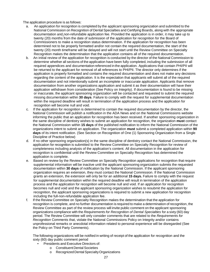The application procedure is as follows:

- a. An application for recognition is completed by the applicant sponsoring organization and submitted to the National Commission on Recognition of Dental Specialties and Certifying Boards, along with the appropriate documentation and non-refundable application fee. Provided the application is in order, it may take up to twenty (20) months from the date of submission of the application for recognition for the Board of Commissioners to make a recognition status determination. If the application for recognition has been determined not to be properly formatted and/or not contain the required documentation, the start of the twenty (20) month timeframe will be delayed and will not start until the Review Committee on Specialty Recognition makes the determination that the application contains all of the required documentation.
- b. An initial review of the application for recognition is conducted by the director of the National Commission to determine whether all sections of the application have been fully completed, including the submission of all required appendices and documentation referenced in the application. Applications that contain PHI/PII will be returned to the applicant for removal of all references to PHI/PII. The director only determines if the application is properly formatted and contains the required documentation and does not make any decisions regarding the content of the application. It is the expectation that applicants will submit all of the required documentation and not intentionally submit an incomplete or inaccurate application. Applicants that remove documentation from another organizations application and submit it as their documentation will have their application withdrawn from consideration (See Policy on Integrity). If documentation is found to be missing or inaccurate, the applicant sponsoring organization will be contacted and requested to submit the required missing documentation within **30 days**. Failure to comply with the request for supplemental documentation within the required deadline will result in termination of the application process and the application for recognition will become null and void.
- c. If the application for recognition is determined to contain the required documentation by the director, the National Commission will publish a notification in the ADA News and on the National Commissions website informing the public that an application for recognition has been received. If another sponsoring organization in the same discipline of dentistry wishes to submit an application for recognition, the organization **must** contact the National Commission within **15 days** of the published notification to inform the National Commission of the organizations intent to submit an application. The organization **must** submit a completed application within **90 days** of its intent notification. (See Section on Recognition of One (1) Sponsoring Organization from a Single Discipline of Practice below)
- d. If no other sponsoring organization(s) in the same discipline of dentistry contact the National Commission, the application for recognition is submitted to the Review Committee on Specialty Recognition for review of completeness including analysis of the application's content. All documentation in the application for recognition is confidential until the Review Committee on Specialty Recognition has determined the application is complete.
- e. Based on review by the Review Committee on Specialty Recognition applications for recognition that require supplemental information will be inactive until the applicant sponsoring organization submits the requested documentation within **30 days** of notification by the National Commission. If the applicant sponsoring organization requires an extension, they must contact the National Commission. If the National Commission grants an extension, the extension will only be for an additional **15 days.** Failure to comply with the request for supplemental documentation within the required deadline will result in termination of the application process and the application for recognition will become null and void. If an application for recognition becomes null and void and the applicant sponsoring organization wishes to resubmit the application for recognition, the applicant sponsoring organizations is required to submit a new application for recognition including the full-non-refundable application fee.
- f. If the Review Committee on Specialty Recognition makes the determination that the application for recognition is complete, and no further documentation is required to make a determination of recognition, the Review Committee as part of the review process will invite public comment on the applicant sponsoring organizations compliance with the *Requirements for Recognition of Dental Specialties* for a sixty (60) day period. The Review Committee will only consider comments that are related to the *Requirements for Recognition* Comments that, violate the National Commissions Policy on Integrity and/or contains unprofessional remarks or anecdotal information related to personal experience will be disregarded (See the Policy on Third Party Comments).

The following organizations will be notified in writing of receipt of the application for recognition and the sixty (60) day public comment period

- Presidents and Executive Directors of:
	- o ConstituentDental Societies
	- o RecognizedDentalSpecialtyOrganizations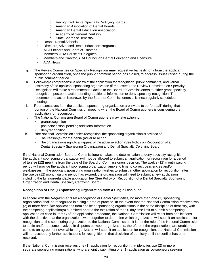- o Recognized Dental Specialty Certifying Boards
- o American Association of Dental Boards
- o American Dental Education Association
- o Academy of General Dentistry
- o State Boards of Dentistry
- Deans, Dental Schools
- Directors, Advanced Dental Education Programs
- ADA Officers and Board of Trustees
- Members, ADA House of Delegates
- Members and Director, ADA Council on Dental Education and Licensure
- ADA News
- g. The Review Committee on Specialty Recognition **may** request verbal testimony from the applicant sponsoring organization, once the public comment period has closed, to address issues raised during the public comment period.
- h. Following a comprehensive review of the application for recognition, public comments, and verbal testimony of the applicant sponsoring organization (if requested), the Review Committee on Specialty Recognition will make a recommended action to the Board of Commissioners to either grant specialty recognition, postpone action pending additional information or deny specialty recognition. The recommended action is reviewed by the Board of Commissioners at its next regularly scheduled meeting.
- i. Representatives from the applicant sponsoring organization are invited to be "on call" during that portion of the National Commission meeting when the Board of Commissioners is considering the application for recognition.
- j. The National Commission Board of Commissioners may take action to:
	- grantrecognition
	- postpone action, pending additional information
	- deny recognition
- k. If the National Commission denies recognition, the sponsoring organization is advised of:
	- The reason(s) for the denial (adverse action)
	- The organizations right to an appeal of the adverse action (See Policy on Recognition of a Dental Specialty Sponsoring Organization and Dental Specialty Certifying Board)

If the National Commission Board of Commissioners makes the determination to deny specialty recognition, the applicant sponsoring organization **will not** be allowed to submit an application for recognition for a period of **twelve (12) months** from the date of the Board of Commissioners decision. The twelve (12) month waiting period will provide the applicant sponsoring organization ample to time to correct deficiencies and/or weaknesses. If the applicant sponsoring organization wishes to submit another application for recognition after the twelve (12) month waiting period has expired, the organization will need to submit a new application including the full non-refundable application fee (See Policy on Recognition of a Dental Specialty Sponsoring Organization and Dental Specialty Certifying Board).

#### **Recognition of One (1) Sponsoring Organization from a Single Discipline**

In accord with the *Requirements for Recognition of Dental Specialties,* no more than one (1) sponsoring organization shall be recognized in a single area of practice. In the event that the National Commission receives two (2) or more *bona fide* applications from applicant sponsoring organizations in the same discipline of dentistry, with the competing application(s) submitted prior to the expiration of the 90 day time limit to submit a competing application as cited in Item C of the application procedure, the National Commission will reject both applications with the directive that the organizations work together to determine which organization will submit an application for recognition as the sponsoring organization to the National Commission. It is not the role of the National Commission to settle and/or become involved in disputes between organizations; therefore, if the organizations are unable to come to an agreement over which organization will submit an application for recognition, the National Commission will not accept any further applications for recognition in that discipline of dentistry until the conflict has been resolved.

If the National Commission receives one (1) application for recognition that identifies two (2) or more separate sponsoring organizations, who are jointly submitting one (1) application as co-sponsors seeking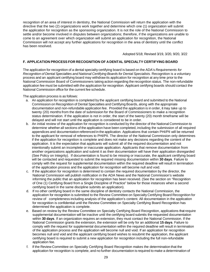recognition of an area of interest in dentistry, the National Commission will return the application with the directive that the two (2) organizations work together and determine which one (1) organization will submit the application for recognition as the sponsoring organization. It is not the role of the National Commission to settle and/or become involved in disputes between organizations; therefore, if the organizations are unable to come to an agreement over which organization will submit an application for recognition, the National Commission will not accept any further applications for recognition in the area of dentistry until the conflict has been resolved.

Adopted 5/18; Revised 3/19, 3/20, 9/20, 3/22

# **F. APPLICATION PROCESS FOR RECOGNITION OF ADENTAL SPECIALTY CERTIFYING BOARD**

The application for recognition of a dental specialty certifying board is based on the ADA's *Requirements for Recognition of Dental Specialties and National Certifying Boards for Dental Specialists.* Recognition is a voluntary process and an applicant certifying board may withdraw its application for recognition at any time prior to the National Commission Board of Commissioners taking action regarding the recognition status. The non-refundable application fee must be submitted with the application for recognition. Applicant certifying boards should contact the National Commission office for the current fee schedule.

The application process is as follows:

- a. An application for recognition is completed by the applicant certifying board and submitted to the National Commission on Recognition of Dental Specialties and Certifying Boards, along with the appropriate documentation and non-refundable application fee. Provided the application is in order, it may take up to twenty (20) months from the date of submission for the Board of Commissioners to make a recognition status determination. If the application is not in order, the start of the twenty (20) month timeframe will be delayed and will not start until the application is considered to be in order.
- b. An initial review of the application for recognition is conducted by the director of the National Commission to determine whether all sections of the application have been completed, including the submission of all required appendices and documentation referenced in the application. Applications that contain PHI/PII will be returned to the applicant for removal of references to PHI/PII. The director of the National Commission only determines if the application for recognition is complete and does not make any decisions regarding the content of the application. It is the expectation that applicants will submit all of the required documentation and not intentionally submit an incomplete or inaccurate application. Applicants that remove documentation from another organizations application and submit it as their documentation will have their application disregarded (See Policy on Integrity). If documentation is found to be missing or inaccurate, the applicant certifying board will be contacted and requested to submit the required missing documentation within **30 days**. Failure to comply with the request for supplemental documentation within the required deadline will result in termination of the application process and the application for recognition will become null and void.
- c. If the application for recognition is determined to contain the required documentation by the director, the National Commission will publish notification in the ADA News and the National Commission's website informing the public that an application for recognition has been received. (See the section on "Recognition of One (1) Certifying Board from a Single Discipline of Practice" below for those instances when a second certifying board in the same discipline submits an application).
- d. If no other certifying board in the same discipline of dentistry contacts the National Commission, the application for recognition is submitted to the Review Committee on Specialty Certifying Board Recognition for review of completeness including analysis of the application's content. All documentation in the application for recognition is confidential until the Review Committee on Specialty Certifying Board Recognition has determined the application is complete.
- e. Based on review by the Review Committee on Specialty Certifying Board Recognition, applications thatrequire supplemental documentation will be inactive until the certifying board submits the requested documentation within **30 days**. If an organization requires an extension, they must contact the National Commission. If the National Commission grants the extension, the extension will be only for an additional **15 days**. Failure to comply with the request for supplemental documentation within the required deadline will result in termination of the application process and the application will become null and void. If an application for recognition becomes null and void and the applicant certifying board wishes to resubmit the application, the applicant certifying board is required to submit a new application for recognition including the full non-refundable application fee.
- f. If the Review Committee on Specialty Certifying Board Recognition makes the determination that the application for recognition is complete, and no further documentation is required to make a determination of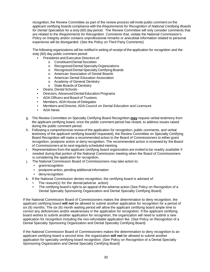recognition, the Review Committee as part of the review process will invite public comment on the applicant certifying boards compliance with the *Requirements for Recognition of National Certifying Boards for Dental Specialists* for a sixty (60) day period. The Review Committee will only consider comments that are related to the *Requirements for Recognition.* Comments that, violate the National Commission's Policy on Integrity and/or contains unprofessional remarks or anecdotal information related to personal experience will be disregarded. (See the Policy on Third Party Comments)

The following organizations will be notified in writing of receipt of the application for recognition and the sixty (60) day public comment period:

- Presidents and Executive Directors of:
	- o ConstituentDentalSocieties
	- o RecognizedDentalSpecialtyOrganizations
	- o Recognized Dental Specialty Certifying Boards
	- o American Association of Dental Boards
	- o American Dental Education Association
	- o Academy of General Dentistry
	- o State Boards of Dentistry
- Deans, Dental Schools
- Directors, Advanced Dental Education Programs
- ADA Officers and Board of Trustees
- Members, ADA House of Delegates
- Members and Director, ADA Council on Dental Education and Licensure
- ADA News
- g. The Review Committee on Specialty Certifying Board Recognition **may** request verbal testimony from the applicant certifying board, once the public comment period has closed, to address issues raised during the public comment period.
- h. Following a comprehensive review of the application for recognition, public comments, and verbal testimony of the applicant certifying board(if requested), the Review Committee on Specialty Certifying Board Recognition will make a recommended action to the Board of Commissioners to either grant recognition, postpone action or deny recognition. The recommended action is reviewed by the Board of Commissioners at its next regularly scheduled meeting.
- i. Representatives from the applicant certifying board organization are invited to be readily available if needed during that portion of the National Commission meeting when the Board of Commissioners is considering the application for recognition.
- j. The National Commission Board of Commissioners may take action to:
	- grantrecognition
	- postpone action, pending additional information
	- denyrecognition
- k. If the National Commission denies recognition, the certifying board is advised of:
	- The reason(s) for the denial(adverse action)
	- The certifying board's right to an appeal of the adverse action (See Policy on Recognition of a Dental Specialty Sponsoring Organization and Dental Specialty Certifying Board)

If the National Commission Board of Commissioners makes the determination to deny recognition, the applicant certifying board **will not** be allowed to submit another application for recognition for a period of six (6) months. The six (6) month waiting period will allow the applicant certifying board ample time to correct any deficiencies and/or weaknesses in the application for recognition. If the applicant certifying board wishes to submit another application for recognition, the organization will need to submit a new application for recognition including the non-refundable application fee. (See Policy on Recognition of a Dental Specialty Sponsoring Organization and Dental Specialty Certifying Board)

If the National Commission Board of Commissioners makes the determination to deny recognition to an applicant certifying board a second time, the organization **will not** be allowed to submit another application for specialty certifying board recognition. (See Policy on Recognition of a Dental Specialty Sponsoring Organization and Dental Specialty Certifying Board)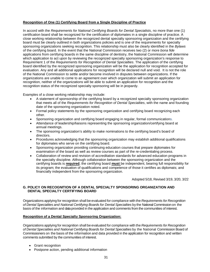# **Recognition of One (1) Certifying Board from a Single Discipline of Practice**

In accord with the *Requirements for National Certifying Boards for Dental Specialists*, no more than one (1) certification board shall be recognized for the certification of diplomates in a single discipline of practice. A close working relationship between the recognized dental specialty sponsoring organization and the certifying board must be clearly outlined in both organizations policies and is one of the requirements for specialty sponsoring organizations seeking recognition. This relationship must also be clearly identified in the *Bylaws* of the certifying board. In the event that the National Commission receives two (2) or more *bona fide* applications from certifying boards in the same discipline of dentistry, the National Commission will determine which application to act upon by reviewing the recognized specialty sponsoring organization's response to Requirement 1 of the *Requirements for Recognition of Dental Specialties*. The application of the certifying board identified by the recognized sponsoring organization will be the application for recognition accepted for evaluation. Any and all additional applications for recognition will be declared null and void. It is not the role of the National Commission to settle and/or become involved in disputes between organizations. If the organizations are unable to come to an agreement over which organization will submit an application for recognition, neither of the organizations will be able to submit an application for recognition and the recognition status of the recognized specialty sponsoring will be in jeopardy.

Examples of a close working relationship may include:

- A statement of sponsorship of the certifying board by a recognized specialty sponsoring organization that meets all of the *Requirements for Recognition of Dental Specialties*, with the name and founding date of the sponsoring organization noted.
- Formal policy statements by the sponsoring organization and certifying board recognizing each other.
- Sponsoring organization and certifying board engaging in regular, formal communications.
- Attendance of leadership/liaisons representing the sponsoring organization/certifying board at annual meetings.
- The sponsoring organization's ability to make nominations to the certifying board's board of directors.
- Procedures acknowledging that the sponsoring organization may establish additional qualifications for diplomates who serve on the certifying board.
- Sponsoring organization providing continuing education courses that prepare diplomates for examination of the board as well as review courses as part of the re-credentialing process.
- Collaboration of review and revision of accreditation standards for advanced education programs in the specialty discipline. Although collaboration between the sponsoring organization and the certifying boards is **required**, the certifying board **must** be independent, bearing full responsibility for its program; the evaluation of qualifications and competence of those it certifies as diplomats; and financially independent from the sponsoring organization.

Adopted 5/18, Revised 3/19, 3/20, 3/22

# **G. POLICY ON RECOGNITION OF A DENTAL SPECIALTY SPONSORING ORGANIZATION AND DENTAL SPECIALTY CERTIFYING BOARD**

Organizations applying for recognition shall be evaluated for compliance with the *Requirements for Recognition of Dental Specialties and National Certifying Boards for Dental Specialties* by the National Commission on the basis of the information and data provided in the application and comments from the communities of interest.

# **Recognition of a Dental Specialty Sponsoring Organization:**

Organizations applying for recognition shall be evaluated for compliance with the *Requirements for Recognition of Dental Specialties and National Certifying Boards for Dental Specialties* by the National Commission Board of Commissioners on the basis of the information and data provided in the application for recognition and written comments submitted by the communities of interest.

- Grant recognition
- Postpone action, pending additional information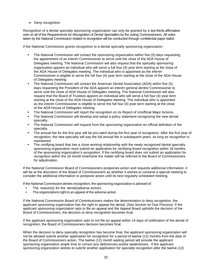• Deny recognition

Recognition of a dental specialty sponsoring organization can only be granted by a two-thirds affirmative vote on all of the *Requirements for Recognition of Dental Specialties* by the voting Commissioners. All votes taken by the National Commission related to recognition will be conducted through confidential paper ballot.

If the National Commission grants recognition to a dental specialty sponsoring organization:

- The National Commission will contact the sponsoring organization within five (5) days requesting the appointment of an *interim* Commissioner to serve until the close of the ADA House of Delegates meeting. The National Commission will also request that the specialty sponsoring organization appoint an individual who will serve a full four (4) year term starting at the close of the ADA House of Delegates meeting. The individual who is appointed as the *interim*  Commissioner is eligible to serve the full four (4) year term starting at the close of the ADA House of Delegates meeting
- The National Commission will contact the American Dental Association (ADA) within five (5) days requesting the President of the ADA appoint an *interim* general dentist Commissioner to serve until the close of ADA House of Delegates meeting. The National Commission will also request that the Board of Trustees appoint an individual who will serve a full four (4) year term starting at the close of the ADA House of Delegates meeting. The individual who is appointed as the *interim* Commissioner is eligible to serve the full four (4) year term starting at the close of the ADA House of Delegates meeting
- The National Commission will report the recognition on its Report of Unofficial Major Actions.
- The National Commission will develop and adopt a policy statement recognizing the new dental specialty.
- The National Commission will request from the sponsoring organization an official definition of the specialty.
- The annual fee for the first year will be pro-rated during the first year of recognition. After the first year of recognition, the new specialty will pay the full annual fee in subsequent years, as long as recognition is maintained.
- The certifying board that has a close working relationship with the newly recognized dental specialty sponsoring organization must submit an application for certifying board recognition within 18 months of the sponsoring organization's recognition. If the certifying board does not submit an application for recognition within the 18 month timeframe the matter will be referred to the Board of Commissioners for adjudication.

If the National Commission Board of Commissioners postpones action and requests additional information, it will be at the discretion of the Board of Commissioners as whether it wishes to convene a special meeting to consider the additional information or postpone action until its next regularly scheduled meeting.

If the National Commission denies recognition, the sponsoring organization is advised of:

- The reason(s) for the denial(adverse action)
- The organizations right to an appeal of the adverse action

If the National Commission Board of Commissioners makes the determination to deny recognition, the applicant sponsoring organization has the right to appeal the denial. (See Section on Due Process). If the applicant sponsoring organization opts to file an appeal and the Appeal Board upholds the decision of the Board of Commissioners, the decision to deny recognition becomes final.

If the applicant sponsoring organization opts to not file an appeal within 14 days of notification of the denial of recognition, the Board of Commissioners decision becomes final.

When the decision to deny specialty recognition has become final, the applicant sponsoring organization will not be allowed submit another application for recognition for a period of twelve (12) months from the date of the Board of Commissioners action. The twelve (12) month waiting period will provide the applicant sponsoring organization ample time to correct any deficiencies and/or weaknesses. If the applicant sponsoring organization wishes to submit another application for specialty recognition after the twelve (12)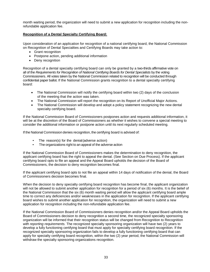month waiting period, the organization will need to submit a new application for recognition including the nonrefundable application fee.

# **Recognition of a Dental Specialty Certifying Board:**

Upon consideration of an application for recognition of a national certifying board, the National Commission on Recognition of Dental Specialties and Certifying Boards may take action to:

- Grant recognition
- Postpone action, pending additional information
- Deny recognition

Recognition of a dental specialty certifying board can only be granted by a two-thirds affirmative vote on all of the *Requirements for Recognition of National Certifying Boards for Dental Specialists by the voting* Commissioners. All votes taken by the National Commission related to recognition will be conducted through confidential paper ballot. If the National Commission grants recognition to a dental specialty certifying board:

- The National Commission will notify the certifying board within two (2) days of the conclusion of the meeting that the action was taken.
- The National Commission will report the recognition on its Report of Unofficial Major Actions.
- The National Commission will develop and adopt a policy statement recognizing the new dental specialty certifying board.

If the National Commission Board of Commissioners postpones action and requests additional information, it will be at the discretion of the Board of Commissioners as whether it wishes to convene a special meeting to consider the additional information or postpone action until its next regularly scheduled meeting.

If the National Commission denies recognition, the certifying board is advised of:

- The reason(s) for the denial (adverse action)
- The organizations right to an appeal of the adverse action

If the National Commission Board of Commissioners makes the determination to deny recognition, the applicant certifying board has the right to appeal the denial. (See Section on Due Process). If the applicant certifying board opts to file an appeal and the Appeal Board upholds the decision of the Board of Commissioners, the decision to deny recognition becomes final.

If the applicant certifying board opts to not file an appeal within 14 days of notification of the denial, the Board of Commissioners decision becomes final.

When the decision to deny specialty certifying board recognition has become final, the applicant organization will not be allowed to submit another application for recognition for a period of six (6) months. It is the belief of the National Commission that the six (6) month waiting period will allow the applicant certifying board ample time to correct any deficiencies and/or weaknesses in the application for recognition. If the applicant certifying board wishes to submit another application for recognition, the organization will need to submit a new application for recognition including the non-refundable application fee.

If the National Commission Board of Commissioners denies recognition and/or the Appeal Board upholds the Board of Commissioners decision to deny recognition a second time, the recognized specialty sponsoring organization will be informed that their recognition status will be changed from Recognition to Recognition *with reporting requirements.* The recognized specialty sponsoring organization will have two (2) years to develop a fully functioning certifying board that must apply for specialty certifying board recognition. If the recognized specialty sponsoring organization fails to develop a fully functioning certifying board that can apply for specialty certifying board recognition, within the two (2) year period, the National Commission will withdraw the specialty sponsoring organizations recognition.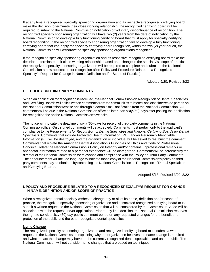If at any time a recognized specialty sponsoring organization and its respective recognized certifying board make the decision to terminate their close working relationship, the recognized certifying board will be required to submit to the National Commission notification of voluntary discontinuance of recognition. The recognized specialty sponsoring organization will have two (2) years from the date of notification by the National Commission to develop a fully functioning certifying board that must apply for specialty certifying board recognition. If the recognized specialty sponsoring organization fails to develop a fully functioning certifying board that can apply for specialty certifying board recognition, within the two (2) year period, the National Commission will withdraw the specialty sponsoring organizations recognition.

If the recognized specialty sponsoring organization and its respective recognized certifying board make the decision to terminate their close working relationship based on a change in the specialty's scope of practice, the recognized specialty sponsoring organization will be required to complete and submit to the National Commission a new application for recognition (See Policy and Procedure Related to a Recognized Specialty's Request for Change in Name, Definition and/or Scope of Practice).

Adopted 9/20; Revised 3/22

# **H. POLICY ON THIRD PARTY COMMENTS**

When an application for recognition is received, the National Commission on Recognition of Dental Specialties and Certifying Boards will solicit written comments from the communities of interest and other interested parties on the National Commission website and through electronic mail notification from the National Commission. All comments will be due in the National Commission office no later than sixty (60) days after posting the application for recognition the on the National Commission's website.

The notice will indicate the deadline of sixty (60) days for receipt of third-party comments in the National Commission office. Only signed comments will be accepted. Comments must pertain only to the applicant's compliance to the *Requirements for Recognition of Dental Specialties and National Certifying Boards for Dental Specialists.* Comments that include Protected Health Information (PHI) and/or Personally Identifiable Information (PII) will be destroyed, and the organization or individual will be asked to resubmit the comment. Comments that violate the American Dental Association's Principles of Ethics and Code of Professional Conduct, violate the National Commission's Policy on Integrity and/or contains unprofessional remarks or anecdotal information related to a personal experience will be disregarded. Comments will be screened by the director of the National Commission for relevance and compliance with the Policy on Third Party Comments. The announcement will include language to indicate that a copy of the National Commission's policy on thirdparty comments may be obtained by contacting the National Commission on Recognition of Dental Specialties and Certifying Boards.

Adopted 5/18; Revised 3/20, 3/22

# **I. POLICY AND PROCEDURE RELATED TO A RECOGNIZED SPECIALTY'S REQUEST FOR CHANGE IN NAME, DEFINITION AND/OR SCOPE OF PRACTICE**

When a recognized dental specialty wishes to change any or all of its name, definition and/or scope of practice, the recognized specialty sponsoring organization and associated recognized certifying board must submit a written request to the National Commission that will be considered by the Commission. A fee will be associated with the request and/or application. Prior to any final decision, the National Commission reserves the right to solicit a sixty (60) day public comment period on any requested changes for the benefit and protection of the public and the other recognized dental specialties.

#### **Name Change**

The recognized specialty sponsoring organization and recognized certifying board must submit a written request to the National Commission explaining why the organization believes the name change is required and what impact the change may have on the currently recognized dental specialties and on the public. The National Commission will not consider name changes that are based on techniques.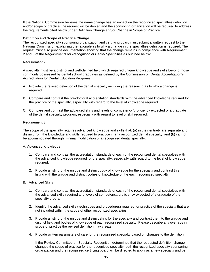If the National Commission believes the name change has an impact on the recognized specialties definition and/or scope of practice, the request will be denied and the sponsoring organization will be required to address the requirements cited below under Definition Change and/or Change in Scope of Practice.

# **Definition and Scope of Practice Change**

The recognized specialty sponsoring organization and certifying board must submit a written request to the National Commission explaining the rationale as to why a change in the specialties definition is required. The request must also provide documentation showing that the change remains in compliance with Requirement 2 and 3 of the *Requirements for Recognition of Dental Specialties* as outlined below:

# Requirement 2:

A specialty must be a distinct and well-defined field which required unique knowledge and skills beyond those commonly possessed by dental school graduates as defined by the Commission on Dental Accreditation's Accreditation for Dental Education Programs.

- A. Provide the revised definition of the dental specialty including the reasoning as to why a change is required.
- B. Compare and contrast the pre-doctoral accreditation standards with the advanced knowledge required for the practice of the specialty, especially with regard to the level of knowledge required.
- C. Compare and contrast the advanced skills and levels of competency/proficiency expected of a graduate of the dental specialty program, especially with regard to level of skill required.

#### Requirement 3:

The scope of the specialty requires advanced knowledge and skills that: (a) in their entirety are separate and distinct from the knowledge and skills required to practice in any recognized dental specialty; and (b) cannot be accommodated through minimal modification of a recognized dental specialty.

#### A. Advanced Knowledge

- 1. Compare and contrast the accreditation standards of each of the recognized dental specialties with the advanced knowledge required for the specialty, especially with regard to the level of knowledge required.
- 2. Provide a listing of the unique and distinct body of knowledge for the specialty and contrast this listing with the unique and distinct bodies of knowledge of the each recognized specialty.

#### B. Advanced Skills

- 1. Compare and contrast the accreditation standards of each of the recognized dental specialties with the advanced skills required and levels of competency/proficiency expected of a graduate of the specialty program.
- 2. Identify the advanced skills (techniques and procedures) required for practice of the specialty that are not included within the scope of other recognized specialties.
- 3. Provide a listing of the unique and distinct skills for the specialty and contrast them to the unique and distinct field and bodies of knowledge of each recognized specialty. Please describe any overlaps in scope of practice the revised definition may create.
- 4. Provide written parameters of care for the recognized specialty based on changes to the definition.

If the Review Committee on Specialty Recognition determines that the requested definition change changes the scope of practice for the recognized specialty, both the recognized specialty sponsoring organization and the recognized certifying board will be directed to apply as a new specialty and be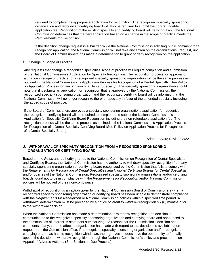required to complete the appropriate application for recognition. The recognized specialty sponsoring organization and recognized certifying board will also be required to submit the non-refundable application fee. Recognition of the existing specialty and certifying board will be withdrawn if the National Commission determines that the new application based on a change in the scope of practice meets the *Requirements for Recognition*.

If the definition change request is submitted while the National Commission is soliciting public comment for a recognition application, the National Commission will not take any action on the organizations request, until the Board of Commissioners has made a determination to grant or deny recognition on the application.

#### C. Change in Scope of Practice

Any requests that change a recognized specialties scope of practice will require completion and submission of the National Commission's Application for Specialty Recognition. The recognition process for approval of a change in scope of practice for a recognized specialty sponsoring organization will be the same process as outlined in the National Commission's Application Process for Recognition of a Dental Specialty (See Policy on Application Process for Recognition of a Dental Specialty). The specialty sponsoring organization should note that if it submits an application for recognition that is approved by the National Commission, the recognized specialty sponsoring organization and the recognized certifying board will be informed that the National Commission will no longer recognize the prior specialty in favor of the amended specialty including the added scope of practice.

If the Board of Commissioners approves a specialty sponsoring organizations application for recognition, the recognized certifying board will be required to complete and submit the National Commission's Application for Specialty Certifying Board Recognition including the non-refundable application fee. The recognition process will be the same process as outlined in the National Commission's Application Process for Recognition of a Dental Specialty Certifying Board (See Policy on Application Process for Recognition of a Dental Specialty Board).

Adopted 3/20; Revised 3/22

# **J. WITHDRAWAL OF SPECIALTY RECOGNITION FROM A RECOGNIZED SPONSORING ORGANIZATION OR CERTIFYING BOARD**

Based on the *Rules* and authority granted to the National Commission on Recognition of Dental Specialties and Certifying Boards, the National Commission has the authority to withdraw specialty recognition from any specialty sponsoring organization or certifying board recognized by the Commission that fails to comply with the *Requirements for Recognition of Dental Specialties and National Certifying Boards for Dental Specialists*  and/or policies of the National Commission. Recognized specialty sponsoring organizations and/or certifying boards found not to be in compliance with the *Requirements for Recognition* and/or National Commission policies will be notified of their non-compliance.

Withdrawal of recognition is an action taken by the National Commission Board of Commissioners when a recognized specialty sponsoring organization or certifying board has been unable to demonstrate compliance with the *Requirements for Recognition* or National Commission policies within a specified time period. A withdrawal determination must be preceded by a notice of *intent to withdraw* recognition six (6) months prior to the withdrawal decision.

When the National Commission has made a determination to withdraw recognition, the decision is communicated to the recognized specialty sponsoring organization and certifying board and announced to the communities of interest. A statement summarizing the reasons for the Commission's decision and comments, if any, that the affected organization has made with regard to this decision, is available upon request from the Commission office. If a recognized specialty sponsoring organization and/or recognized certifying board has had its recognition withdrawn, the organization does have the opportunity to formally appeal the decision to withdraw recognition through the National Commission's policy and procedures on Appeal of Adverse Actions. (See Section on Due Process)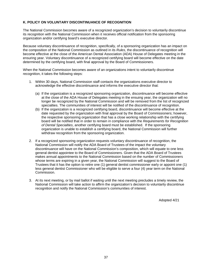# **K. POLICY ON VOLUNTARY DISCONTINUANCE OF RECOGNITION**

The National Commission becomes aware of a recognized organization's decision to voluntarily discontinue its recognition with the National Commission when it receives official notification from the sponsoring organization and/or certifying board's executive director.

Because voluntary discontinuance of recognition, specifically, of a sponsoring organization has an impact on the composition of the National Commission as outlined in its *Rules*, the discontinuance of recognition will become effective at the close of the American Dental Association (ADA) House of Delegates meeting in the ensuring year. Voluntary discontinuance of a recognized certifying board will become effective on the date determined by the certifying board, with final approval by the Board of Commissioners.

When the National Commission becomes aware of an organizations intent to voluntarily discontinue recognition, it takes the following steps:

- 1. Within 30 days, National Commission staff contacts the organizations executive director to acknowledge the effective discontinuance and informs the executive director that:
	- (a) If the organization is a recognized sponsoring organization, discontinuance will become effective at the close of the ADA House of Delegates meeting in the ensuing year, the organization will no longer be recognized by the National Commission and will be removed from the list of recognized specialties. The communities of interest will be notified of the discontinuance of recognition.
	- (b) If the organization is a recognized certifying board, discontinuance will become effective at the date requested by the organization with final approval by the Board of Commissioners; however, the respective sponsoring organization that has a close working relationship with the certifying board will be notified that in order to remain in compliance with the *Requirements for Recognition of Dental Specialties*, another certifying board must be established. If the sponsoring organization is unable to establish a certifying board, the National Commission will further withdraw recognition from the sponsoring organization.
- 2. If a recognized sponsoring organization requests voluntary discontinuance of recognition, the National Commission will notify the ADA Board of Trustees of the impact the voluntary discontinuance will have on the National Commission's composition, which will equate to one less general dentist appointee to the Board of Commissioners. Given that the ADA Board of Trustees makes annual appointments to the National Commission based on the number of Commissioners whose terms are expiring in a given year, the National Commission will suggest to the Board of Trustees that it has the option to retire one (1) general dentist commissioner early or appoint one (1) less general dentist Commissioner who will be eligible to serve a four (4) year term on the National Commission.
- 3. At its next meeting, or by mail ballot if waiting until the next meeting precludes a timely review, the National Commission will take action to affirm the organization's decision to voluntarily discontinue recognition and notify the National Commission's communities of interest.

Adopted 4/21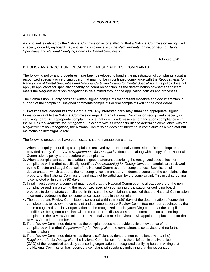# **V. COMPLAINTS**

# A. DEFINITION

A complaint is defined by the National Commission as one alleging that a National Commission recognized specialty or certifying board may not be in compliance with the *Requirements for Recognition of Dental Specialties and National Certifying Boards for Dental Specialists.*

Adopted 3/20

# B. POLICY AND PROCEDURE REGARDING INVESTIGATION OF COMPLAINTS

The following policy and procedures have been developed to handle the investigation of complaints about a recognized specialty or certifying board that may not be in continued compliance with the *Requirements for Recognition of Dental Specialties and National Certifying Boards for Dental Specialists.* This policy does not apply to applicants for specialty or certifying board recognition, as the determination of whether applicant meets the *Requirements for Recognition* is determined through the application policies and processes.

The Commission will only consider written, signed complaints that present evidence and documentation in support of the complaint. Unsigned comments/complaints or oral complaints will not be considered.

**1. Investigative Procedures for Complaints:** Any interested party may submit an appropriate, signed, formal complaint to the National Commission regarding any National Commission recognized specialty or certifying board. An appropriate complaint is one that directly addresses an organizations compliance with the ADA's *Requirements for Recognition*. In accord with its responsibilities to determine compliance with the *Requirements for Recognition,* the National Commission does not intervene in complaints as a mediator but maintains an investigative role.

The following procedures have been established to manage complaints:

- 1. When an inquiry about filing a complaint is received by the National Commission office, the inquirer is provided a copy of the ADA's *Requirements for Recognition* document, along with a copy of the National Commission's policy and procedure on complaints.
- 2. When a complainant submits a written, signed statement describing the recognized specialties' non compliance with a (the) specifically identified *Requirement(s) for Recognition*, the materials are reviewed by the Director and Legal Counsel of the National Commission for completeness. Submission of documentation which supports the noncompliance is mandatory. If deemed complete, the complaint is the property of the National Commission and may not be withdrawn by the complainant. This initial screening is completed within thirty (30) days.
- 3. Initial investigation of a complaint may reveal that the National Commission is already aware of the non compliance and is monitoring the recognized specialty sponsoring organization or certifying board progress to demonstrate compliance. In this case, the complainant is notified that the National Commission is currently addressing the noncompliance issue noted in the complaint.
- 4. The appropriate Review Committee is convened within thirty (30) days of the determination of complaint completeness to review the complaint and documentation. A Review Committee member appointed by the same recognized specialty organization as the recognized specialty/certifying board that the compliant identifies as being non-compliant will be recused from discussions and recommendation concerning the complaint in the Review Committee. The National Commission Director will appoint a replacement for that Review Committee member.
- 5. If the Review Committee determines the complaint does not provide sufficient evidence of non compliance with a (the) *Requirement(s) for Recognition*, the complainant is so advised and no further action is taken.
- 6. If the Review Committee determines there is sufficient evidence of non-compliance with a (the) *Requirement(s) for Recognition*, the National Commission informs the chief administrative officer (CAO) of the recognized specialty sponsoring organization or recognized certifying board in writing that the National Commission has received a complaint with evidence indicating that the recognized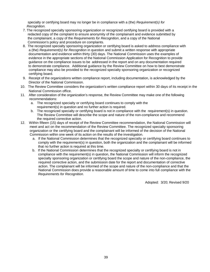specialty or certifying board may no longer be in compliance with a (the) *Requirement(s) for Recognition.* 

- 7. The recognized specialty sponsoring organization or recognized certifying board is provided with a redacted copy of the complaint to ensure anonymity of the complainant and evidence submitted by the complainant, a copy of the *Requirements for Recognition*, and a copy of the National Commission's policy and procedure on complaints.
- 8. The recognized specialty sponsoring organization or certifying board is asked to address compliance with a (the) *Requirement(s) for Recognition* in question and submit a written response with appropriate documentation and evidence within thirty (30) days. The National Commission uses the examples of evidence in the appropriate sections of the National Commission Application for Recognition to provide guidance on the compliance issues to be addressed in the report and on any documentation required to demonstrate compliance. Additional guidance by the Review Committee on how to best demonstrate compliance may also be provided to the recognized specialty sponsoring organization or recognized certifying board.
- 9. Receipt of the organizations written compliance report, including documentation, is acknowledged by the Director of the National Commission.
- 10. The Review Committee considers the organization's written compliance report within 30 days of its receipt in the National Commission office.
- 11. After consideration of the organization's response, the Review Committee may make one of the following recommendations:
	- a. The recognized specialty or certifying board continues to comply with the requirement(s) in question and no further action is required.
	- b. The recognized specialty or certifying board is not in compliance with the requirement(s) in question. The Review Committee will describe the scope and nature of the non-compliance and recommend the required corrective action.
- 12. Within fifteen (15) days of receipt of the Review Committee recommendation, the National Commission will meet and act on the recommendation of the Review Committee. The recognized specialty sponsoring organization or the certifying board and the complainant will be informed of the decision of the National Commission within one week of its action on the results of the investigation.
	- a. If the National Commission determines that the recognized specialty or certifying board continues to comply with the requirement(s) in question, both the organization and the complainant will be informed that no further action is required at this time.
	- b. If the National Commission determines that the recognized specialty or certifying board is not in compliance with the requirement(s) in question, the National Commission will inform the recognized specialty sponsoring organization or certifying board the scope and nature of the non-compliance, the required corrective action, and the submission date for the report and documentation of corrective action. The complainant will be informed of the scope and nature of the non-compliance and that the National Commission does provide a reasonable amount of time to come into full compliance with the *Requirements for Recognition*.

Adopted: 3/20; Revised 9/20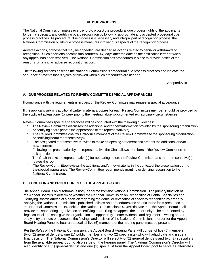# **VI. DUEPROCESS**

The National Commission makes every effort to protect the procedural due process rights of the applicants for dental specialty and certifying board recognition by following appropriate and accepted procedural due process practices. As procedural due process is a necessary and integral part of recognition process, the National Commission builds due process measures into various aspects of the recognitionprocess.

Adverse actions, or those that may be appealed, are defined as actions related to denial or withdrawal of recognition. Such decisions become final fourteen (14) days after the date on the notification letter or when any appeal has been resolved. The National Commission has procedures in place to provide notice of the reasons for taking an adverse recognition action.

The following sections describe the National Commission's procedural due process practices and indicate the sequence of events that is typically followed when such procedures are needed.

Adopted 5/18

# **A. DUE PROCESS RELATEDTO REVIEW COMMITTEE SPECIAL APPEARANCES**

If compliance with the requirements is in question the Review Committee may request a special appearance.

If the applicant submits additional written materials, copies for each Review Committee member should be provided by the applicant at least one (1) week prior to the meeting, absent documented extraordinary circumstances.

Review Committees special appearances will be conducted with the following guidelines:

- a. The Review Committee discusses the additional and/or new information provided by the sponsoring organization or certifying board prior to the appearance of the representative(s).
- b. The Review Committee chair will introduce members of the Review Committee to the sponsoring organization or certifying board representative(s).
- c. The designated representative is invited to make an opening statement and present the additional and/or newinformation.
- d. Following the presentation by the representative, the Chair allows members of the Review Committee to ask questions.
- e. The Chair thanks the representative(s) for appearing before the Review Committee and the representative(s) leaves the room.
- f. The Review Committee reviews the additional and/or new material in the context of the presentation during the special appearance. The Review Committee recommends granting or denying recognition to the National Commission.

# **B. FUNCTION AND PROCEDURES OF THE APPEAL BOARD**

The Appeal Board is an autonomous body, separate from the National Commission. The primary function of the Appeal Board is to determine whether the National Commission on Recognition of Dental Specialties and Certifying Boards arrived at a decision regarding the denial or revocation of specialty recognition by properly applying the National Commission's published policies and procedures and criteria to the facts presented to the National Commission. In addition, the National Commission's *Rules* stipulate that the Appeal Board shall provide the sponsoring organization or certifying board filing the appeal, the opportunity to be represented by legal counsel and shall give the organization the opportunity to offer evidence and argument in writing and/or orally to try to refute or overcome the findings and decision of the National Commission. In order for the Appeal Board Hearing Panel to hear an appeal all five (5) members of the hearing panel must be present.

Per the *Rules* of the National Commission, the Appeal Board Hearing Panel will consist of five (5) members; (two (2) general dentists, one (1) public member and two (2) specialists) who will adjudicate and issue a final decision. The National Commission's Director will select two (2) general dentists and two (2) specialists from the available appeal pool to also serve on the hearing panel. The National Commission's Director will also identify one (1) general dentist and one (1) specialist from the Appeal Board pool to serve as alternates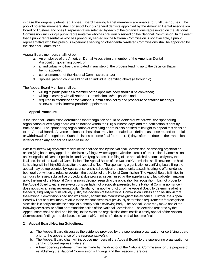in case the originally identified Appeal Board Hearing Panel members are unable to fulfill their duties. The pool of potential members shall consist of four (4) general dentists appointed by the American Dental Association Board of Trustees and one (1) representative selected by each of the organizations represented on the National Commission, including a public representative who has previously served on the National Commission. In the event that a public representative who has previously served on the National Commission is not available, a public representative who has previous experience serving on other dentally-related Commissions shall be appointed by the National Commission.

Appeal Board members shall not be:

- a. An employee of the American Dental Association or member of the American Dental Association governing board; or
- b. an individual who has participated in any step of the process leading up to the decision that is being appealed
- c. current member of the National Commission; and/or
- d. Spouse, parent, child or sibling of an individual identified above (a through c).

The Appeal Board Member shall be:

- a. willing to participate as a member of the appellate body should it be convened;
- b. willing to comply with all National Commission *Rules*, policies and;
- c. required to attend the same National Commission policy and procedure orientation meetings as newcommissioners upon their appointment.

#### **1. Appeal Procedure:**

If the National Commission determines that recognition should be denied or withdrawn, the sponsoring organization or certifying board will be notified within ten (10) business days and the notification is sent by tracked mail. The sponsoring organization or certifying board is also notified of its right to appeal this decision to the Appeal Board. Adverse actions, or those that may be appealed, are defined as those related to denial or withdrawal of recognition. Such decisions become final fourteen (14) days after the date on the transmittal letter or when any appeal has been resolved.

Within fourteen (14) days after receipt of the final decision by the National Commission, sponsoring organization or certifying board may appeal the decision by filing a written appeal with the director of the National Commission on Recognition of Dental Specialties and Certifying Boards. The filing of the appeal shall automatically stay the final decision of the National Commission. The Appeal Board of the National Commission shall convene and hold its hearing within thirty (30) days after the appeal is filed. The sponsoring organization or certifying board filing the appeal may be represented by legal counsel and shall be given the opportunity at such hearing to offer evidence both orally or written to refute or overturn the decision of the National Commission. The Appeal Board is limited in its inquiry to review substantive procedural due process issues raised by the appellants and factual determinations up to the time of the National Commission's decision regarding the application for recognition. It is not proper for the Appeal Board to either receive or consider facts not previously presented to the National Commission since it does not sit as an initial reviewing body. Similarly, it is not the function of the Appeal Board to determine whether the facts, singularly or cumulatively, justify the decision of the National Commission, unless it can be shown that the National Commission's decision was clearly against the manifest weight of the evidence. Further, the Appeal Board will not hear testimony relative to the reasonableness of previously determined requirements for recognition since this is clearly outside the scope of authority of this reviewing body. The Appeal Board may make one of the following decisions: to affirm or remand the action of the National Commission. The decision rendered by the Appeal Board shall be final and binding. In the event the organization does not file a timely appeal of the National Commission's findings and decision, the National Commission's decision shall become final.

# **2. Appeal Board Hearing Guidelines:**

- a. The Appeal Board discusses the evidence provided by the sponsoring organization or certifying board prior to the appearance of the representative(s).
- b. The Appeal Board chair will introduce members of the Appeal Board to the sponsoring organization or certifying board representative(s).
- c. A brief opening statement may be made by the director of the National Commission for the purpose of establishing the National Commission's findings and the reasons therefore.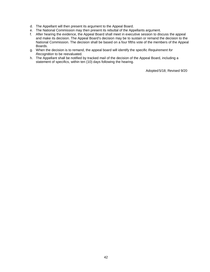- d. The Appellant will then present its argument to the Appeal Board.
- e. The National Commission may then present its rebuttal of the Appellants argument.
- f. After hearing the evidence, the Appeal Board shall meet in executive session to discuss the appeal and make its decision. The Appeal Board's decision may be to sustain or remand the decision to the National Commission. The decision shall be based on a four fifths vote of the members of the Appeal Boards.
- g. When the decision is to remand, the appeal board will identify the specific *Requirement for Recognition* to be reevaluated.
- h. The Appellant shall be notified by tracked mail of the decision of the Appeal Board, including a statement of specifics, within ten (10) days following the hearing.

Adopted 5/18; Revised 9/20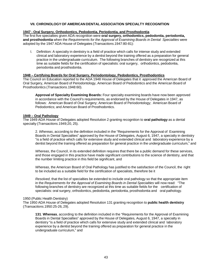# <span id="page-42-0"></span>**VII. CHRONOLOGYOF AMERICAN DENTAL ASSOCIATION SPECIALTY RECOGNITION**

#### **1947 - Oral Surgery, Orthodontics, Pedodontia, Periodontia, and Prosthodontia**

The first five specialties given ADA recognition were **oral surgery, orthodontics, pedodontia, periodontia, and prosthodontia** when the *Requirements for the Approval of Examining Boards in Dental Specialties* were adopted by the 1947 ADA House of Delegates (*Transactions*.1947:80-81):

I. Definition: A specialty in dentistry is a field of practice which calls for intense study and extended clinical and laboratory experience by a dentist beyond the training offered as a preparation for general practice in the undergraduate curriculum. The following branches of dentistry are recognized at this time as suitable fields for the certification of specialists: oral surgery, orthodontics, pedodontia, periodontia and prosthodontia.

#### **1948 – Certifying Boards for Oral Surgery, Periodontology, Pedodontics, Prosthodontics**

The Council on Education reported to the ADA 1948 House of Delegates that it approved the American Board of Oral Surgery, American Board of Periodontology, American Board of Pedodontics and the American Board of Prosthodontics (*Transactions*.1948:60).

**Approval of Specialty Examining Boards:** Four specialty examining boards have now been approved in accordance with the Council's requirements, as endorsed by the House of Delegates in 1947, as follows: American Board of Oral Surgery; American Board of Periodontology; American Board of Pedodontics; and American Board of Prosthodontics.

#### **1949 – Oral Pathology**

The 1949 ADA House of Delegates adopted Resolution 2 granting recognition to **oral pathology** as a dental specialty (*Transactions.*1949;20, 25).

2. *Whereas*, according to the definition included in the "Requirements for the Approval of Examining Boards in Dental Specialties" approved by the House of Delegates, August 6, 1947, a specialty in dentistry "is a field of practice which calls for extensive study and extended clinical and laboratory experience by a dentist beyond the training offered as preparation for general practice in the undergraduate curriculum," and

*Whereas*, the Council, in its extended definition requires that there be a public demand for these services, and those engaged in this practice have made significant contributions to the science of dentistry, and that the number limiting practice in this field be significant, and

*Whereas*, the American Board of Oral Pathology has justified to the satisfaction of the Council, the right to be included as a suitable field for the certification of specialists, therefore be it

*Resolved*, that the list of specialties be extended to include oral pathology so that the appropriate item in the *Requirements for the Approval of Examining Boards in Dental Specialties* will now read: "The following branches of dentistry are recognized at this time as suitable fields for the certification of specialists: oral surgery, orthodontics, pedodontia, periodontia, prosthodontia and oral pathology.

#### 1950 (Public Health Dentistry)

The 1950 ADA House of Delegates adopted Resolution 131 granting recognition to **public health dentistry** (*Transactions*.1950:25-26, 29).

**131***.* **Whereas**, according to the definition included in the "Requirements for the Approval of Examining Boards in Dental Specialties" approved by the House of Delegates, August 6, 1947, a specialty in dentistry "is a field of practice which calls for extensive study and extended clinical and laboratory experience by a dentist beyond the training offered as preparation for general practice in the undergraduate curriculum," and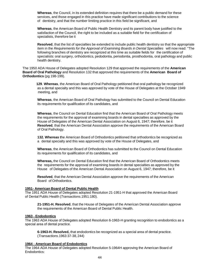**Whereas**, the Council, in its extended definition requires that there be a public demand for these services, and those engaged in this practice have made significant contributions to the science of dentistry, and that the number limiting practice in this field be significant, and

**Whereas**, the American Board of Public Health Dentistry and its parent body have justified to the satisfaction of the Council, the right to be included as a suitable field for the certification of specialists, therefore be it

**Resolved**, that the list of specialties be extended to include public health dentistry so that the appropriate item in the *Requirements for the Approval of Examining Boards in Dental Specialties* will now read: "The following branches of dentistry are recognized at this time as suitable fields for the certification of specialists: oral surgery, orthodontics, pedodontia, periodontia, prosthodontia, oral pathology and public health dentistry.

The 1950 ADA House of Delegates adopted Resolution 129 that approved the requirements of the **American Board of Oral Pathology** and Resolution 132 that approved the requirements of the **American Board of Orthodontics** (pg 198-199).

 **129**. **Whereas**, the American Board of Oral Pathology petitioned that oral pathology be recognized as a dental specialty and this was approved by vote of the House of Delegates at the October 1949 meeting, and

**Whereas**, the American Board of Oral Pathology has submitted to the Council on Dental Education its requirements for qualification of its candidates, and

**Whereas**, the Council on Dental Education find that the American Board of Oral Pathology meets the requirements for the approval of examining boards in dental specialties as approved by the House of Delegates of the American Dental Association on August 6, 1947; therefore, be it **Resolved***,* that the American Dental Association approve the requirements of the American Board of Oral Pathology.

**132. Whereas t**he American Board of Orthodontics petitioned that orthodontics be recognized as a dental specialty and this was approved by vote of the House of Delegates, and

**Whereas**, the American Board of Orthodontics has submitted to the Council on Dental Education its requirements for qualification of its candidates, and

**Whereas,** the Council on Dental Education find that the American Board of Orthodontics meets the requirements for the approval of examining boards in dental specialties as approved by the House of Delegates of the American Dental Association on August 6, 1947; therefore, be it

**Resolved***,* that the American Dental Association approve the requirements of the American Board of Orthodontics.

#### **1951- American Board of Dental Public Health**

The 1951 ADA House of Delegates adopted Resolution 21-1951-H that approved the American Board of Dental Public Health (*Transactions*.1951:180).

**21-1951-H. Resolved**, that the House of Delegates of the American Dental Association approve the requirements of the American Board of Dental Public Health.

#### **1963 - Endodontics**

The 1963 ADA House of Delegates adopted Resolution 6-1963-H granting recognition to endodontics as a special area of dental practice.

**6-1963-H. Resolved,** that endodontics be recognized as a special area of dental practice. (*Transactions*.1963:37-38, 244)

#### **1964 - American Board of Endodontics**

The 1964 ADA House of Delegates adopted Resolution 5-1964H approving the American Board of Endodontics: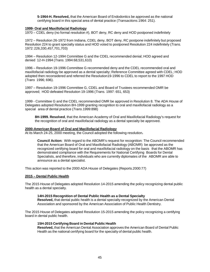**5-1964-H. Resolved,** that the American Board of Endodontics be approved as the national certifying board in this special area of dental practice (*Transactions*.1964: 251).

#### **1999- Oral and Maxillofacial Radiology**

1970 – CDEL deny (no formal resolution #), BOT deny, RC deny and HOD postponed indefinitely

1972 – Resolution 26-1972 from Indiana, CDEL deny, BOT deny, RC postpone indefinitely but proposed Resolution 224 to grant specialty status and HOD voted to postponed Resolution 224 indefinitely (*Trans.* 1972: 226,330,457,701,703)

1994 – Resolution 12-1994 Committee G and the CDEL recommended denial; HOD agreed and denied 12-H-1994 (*Trans.* 1994:68,531,610)

1996 – Resolution 19-1996 Committee G recommended deny and the CDEL recommended oral and maxillofacial radiology be approved as a dental specialty; Reference Committee agreed with CDEL; HOD adopted then reconsidered and referred the Resolution19-1996 to CDEL to report to the 1997 HOD (*Trans* 1996; 696).

1997 – Resolution 19-1996 Committee G, CDEL and Board of Trustees recommended OMR be approved; HOD defeated Resolution 19-1996 (*Trans.* 1997: 651, 653)

1999 - Committee G and the CDEL recommended OMR be approved in Resolution 8. The ADA House of Delegates adopted Resolution 8H-1999 granting recognition to oral and maxillofacial radiology as a special area of dental practice (*Trans*.1999:898)

**8H-1999. Resolved**, that the American Academy of Oral and Maxillofacial Radiology's request for the recognition of oral and maxillofacial radiology as a dental specialty be approved.

#### **2000-American Board of Oral and Maxillofacial Radiology**

At its March 24-25, 2000 meeting, the Council adopted the following resolution**.**

**Council Action:** With regard to the ABOMR's request for recognition: The Council recommended that the American Board of Oral and Maxillofacial Radiology (ABOMR) be approved as the recognized certifying board for oral and maxillofacial radiology on the basis that the ABOMR has demonstrated compliance with the Requirements for National Certifying Boards for Dental Specialists, and therefore, individuals who are currently diplomates of the ABOMR are able to announce as a dental specialist.

This action was reported to the 2000 ADA House of Delegates (Reports.2000:77)

#### **2015 – Dental Public Health**

The 2015 House of Delegates adopted Resolution 14-2015 amending the policy recognizing dental public health as a dental specialty.

#### **14H-2015 Recognition of Dental Public Health as a Dental Specialty**

**Resolved,** that dental public health is a dental specialty recognized by the American Dental Association and sponsored by the American Association of Public Health Dentistry.

The 2015 House of Delegates adopted Resolution 15-2015 amending the policy recognizing a certifying board in dental public health.

#### **15H-2015 Certifying Board in Dental Public Health**

**Resolved,** that the American Dental Association approves the American Board of Dental Public Health as the national certifying board for the specialty of dental public health.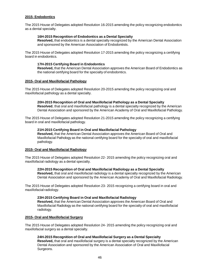# **2015- Endodontics**

The 2015 House of Delegates adopted Resolution 16-2015 amending the policy recognizing endodontics as a dental specialty.

#### **16H-2015 Recognition of Endodontics as a Dental Specialty**

**Resolved,** that endodontics is a dental specialty recognized by the American Dental Association and sponsored by the American Association of Endodontists.

The 2015 House of Delegates adopted Resolution 17-2015 amending the policy recognizing a certifying board in endodontics.

# **17H-2015 Certifying Board in Endodontics**

**Resolved,** that the American Dental Association approves the American Board of Endodontics as the national certifying board for the specialty of endodontics.

# **2015- Oral and Maxillofacial Pathology**

The 2015 House of Delegates adopted Resolution 20-2015 amending the policy recognizing oral and maxillofacial pathology as a dental specialty.

# **20H-2015 Recognition of Oral and Maxillofacial Pathology as a Dental Specialty**

**Resolved**, that oral and maxillofacial pathology is a dental specialty recognized by the American Dental Association and sponsored by the American Academy of Oral and Maxillofacial Pathology.

The 2015 House of Delegates adopted Resolution 21-2015 amending the policy recognizing a certifying board in oral and maxillofacial pathology.

#### **21H-2015 Certifying Board in Oral and Maxillofacial Pathology**

**Resolved,** that the American Dental Association approves the American Board of Oral and Maxillofacial Pathology as the national certifying board for the specialty of oral and maxillofacial pathology.

#### **2015- Oral and Maxillofacial Radiology**

The 2015 House of Delegates adopted Resolution 22- 2015 amending the policy recognizing oral and maxillofacial radiology as a dental specialty.

**22H-2015 Recognition of Oral and Maxillofacial Radiology as a Dental Specialty Resolved,** that oral and maxillofacial radiology is a dental specialty recognized by the American Dental Association and sponsored by the American Academy of Oral and Maxillofacial Radiology.

The 2015 House of Delegates adopted Resolution 23- 2015 recognizing a certifying board in oral and maxillofacial radiology.

#### **23H-2015 Certifying Board in Oral and Maxillofacial Radiology**

**Resolved,** that the American Dental Association approves the American Board of Oral and Maxillofacial Radiology as the national certifying board for the specialty of oral and maxillofacial radiology.

# **2015- Oral and Maxillofacial Surgery**

The 2015 House of Delegates adopted Resolution 24- 2015 amending the policy recognizing oral and maxillofacial surgery as a dental specialty.

#### **24H-2015 Recognition of Oral and Maxillofacial Surgery as a Dental Specialty Resolved,** that oral and maxillofacial surgery is a dental specialty recognized by the American Dental Association and sponsored by the American Association of Oral and Maxillofacial Surgeons.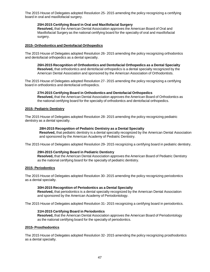The 2015 House of Delegates adopted Resolution 25- 2015 amending the policy recognizing a certifying board in oral and maxillofacial surgery.

# **25H-2015 Certifying Board in Oral and Maxillofacial Surgery**

**Resolved,** that the American Dental Association approves the American Board of Oral and Maxillofacial Surgery as the national certifying board for the specialty of oral and maxillofacial surgery.

# **2015- Orthodontics and Dentofacial Orthopedics**

The 2015 House of Delegates adopted Resolution 26- 2015 amending the policy recognizing orthodontics and dentofacial orthopedics as a dental specialty.

**26H-2015 Recognition of Orthodontics and Dentofacial Orthopedics as a Dental Specialty Resolved,** that orthodontics and dentofacial orthopedics is a dental specialty recognized by the American Dental Association and sponsored by the American Association of Orthodontists.

The 2015 House of Delegates adopted Resolution 27- 2015 amending the policy recognizing a certifying board in orthodontics and dentofacial orthopedics.

# **27H-2015 Certifying Board in Orthodontics and Dentofacial Orthopedics**

**Resolved,** that the American Dental Association approves the American Board of Orthodontics as the national certifying board for the specialty of orthodontics and dentofacial orthopedics.

# **2015- Pediatric Dentistry**

The 2015 House of Delegates adopted Resolution 28- 2015 amending the policy recognizing pediatric dentistry as a dental specialty.

#### **28H-2015 Recognition of Pediatric Dentistry as a Dental Specialty**

**Resolved,** that pediatric dentistry is a dental specialty recognized by the American Dental Association and sponsored by the American Academy of Pediatric Dentistry.

The 2015 House of Delegates adopted Resolution 29- 2015 recognizing a certifying board in pediatric dentistry.

#### **29H-2015 Certifying Board in Pediatric Dentistry**

**Resolved,** that the American Dental Association approves the American Board of Pediatric Dentistry as the national certifying board for the specialty of pediatric dentistry.

# **2015- Periodontics**

The 2015 House of Delegates adopted Resolution 30- 2015 amending the policy recognizing periodontics as a dental specialty.

#### **30H-2015 Recognition of Periodontics as a Dental Specialty**

**Resolved,** that periodontics is a dental specialty recognized by the American Dental Association and sponsored by the American Academy of Periodontology.

The 2015 House of Delegates adopted Resolution 31- 2015 recognizing a certifying board in periodontics.

# **31H-2015 Certifying Board in Periodontics**

**Resolved,** that the American Dental Association approves the American Board of Periodontology as the national certifying board for the specialty of periodontics.

#### **2015- Prosthodontics**

The 2015 House of Delegates adopted Resolution 32- 2015 amending the policy recognizing prosthodontics as a dental specialty.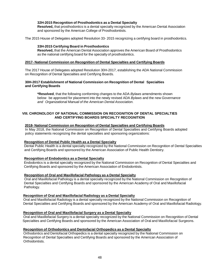#### **32H-2015 Recognition of Prosthodontics as a Dental Specialty**

**Resolved,** that prosthodontics is a dental specialty recognized by the American Dental Association and sponsored by the American College of Prosthodontists.

The 2015 House of Delegates adopted Resolution 33- 2015 recognizing a certifying board in prosthodontics.

# **33H-2015 Certifying Board in Prosthodontics**

**Resolved,** that the American Dental Association approves the American Board of Prosthodontics as the national certifying board for the specialty of prosthodontics.

# **2017- National Commission on Recognition of Dental Specialties and Certifying Boards**

The 2017 House of Delegates adopted Resolution 30H-2017, establishing the ADA National Commission on Recognition of Dental Specialties and Certifying Boards.

#### **30H-2017 Establishment of National Commission on Recognition of Dental Specialties and Certifying Boards**

**\*Resolved**, that the following conforming changes to the ADA *Bylaws* amendments shown below be approved for placement into the newly revised ADA *Bylaws* and the new *Governance and Organizational Manual of the American Dental Association.*

# **VIII. CHRONOLOGY OF NATIONAL COMMISSION ON RECOGNITION OF DENTAL SPECIALTIES AND CERTIFYING BOARDS SPECIALTY RECOGNITION**

# **2018- National Commission on Recognition of Dental Specialties and Certifying Boards**

 In May 2018, the National Commission on Recognition of Dental Specialties and Certifying Boards adopted policy statements recognizing the dental specialties and sponsoring organizations:

#### **Recognition of Dental Public Health as a Dental Specialty**

 Dental Public Health is a dental specialty recognized by the National Commission on Recognition of Dental Specialties and Certifying Boards and sponsored by the American Association of Public Health Dentistry.

#### **Recognition of Endodontics as a Dental Specialty**

 Endodontics is a dental specialty recognized by the National Commission on Recognition of Dental Specialties and Certifying Boards and sponsored by the American Association of Endodontists.

#### **Recognition of Oral and Maxillofacial Pathology as a Dental Specialty**

 Oral and Maxillofacial Pathology is a dental specialty recognized by the National Commission on Recognition of Dental Specialties and Certifying Boards and sponsored by the American Academy of Oral and Maxillofacial Pathology.

#### **Recognition of Oral and Maxillofacial Radiology as a Dental Specialty**

 Oral and Maxillofacial Radiology is a dental specialty recognized by the National Commission on Recognition of Dental Specialties and Certifying Boards and sponsored by the American Academy of Oral and Maxillofacial Radiology.

#### **Recognition of Oral and Maxillofacial Surgery as a Dental Specialty**

 Oral and Maxillofacial Surgery is a dental specialty recognized by the National Commission on Recognition of Dental Specialties and Certifying Boards and sponsored by the American Association of Oral and Maxillofacial Surgeons.

# **Recognition of Orthodontics and Dentofacial Orthopedics as a Dental Specialty**

 Orthodontics and Dentofacial Orthopedics is a dental specialty recognized by the National Commission on Recognition of Dental Specialties and Certifying Boards and sponsored by the American Association of Orthodontists.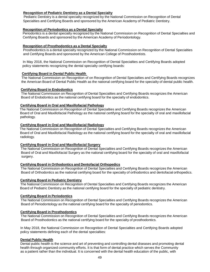# **Recognition of Pediatric Dentistry as a Dental Specialty**

 Pediatric Dentistry is a dental specialty recognized by the National Commission on Recognition of Dental Specialties and Certifying Boards and sponsored by the American Academy of Pediatric Dentistry.

# **Recognition of Periodontics as a Dental Specialty**

 Periodontics is a dental specialty recognized by the National Commission on Recognition of Dental Specialties and Certifying Boards and sponsored by the American Academy of Periodontology.

#### **Recognition of Prosthodontics as a Dental Specialty**

 Prosthodontics is a dental specialty recognized by the National Commission on Recognition of Dental Specialties and Certifying Boards and sponsored by the American College of Prosthodontists.

In May 2018, the National Commission on Recognition of Dental Specialties and Certifying Boards adopted policy statements recognizing the dental specialty certifying boards:

# **Certifying Board in Dental Public Health**

 The National Commission on Recognition of on Recognition of Dental Specialties and Certifying Boards recognizes the American Board of Dental Public Health as the national certifying board for the specialty of dental public health.

# **Certifying Board in Endodontics**

 The National Commission on Recognition of Dental Specialties and Certifying Boards recognizes the American Board of Endodontics as the national certifying board for the specialty of endodontics.

# **Certifying Board in Oral and Maxillofacial Pathology**

 The National Commission on Recognition of Dental Specialties and Certifying Boards recognizes the American Board of Oral and Maxillofacial Pathology as the national certifying board for the specialty of oral and maxillofacial pathology.

# **Certifying Board in Oral and Maxillofacial Radiology**

 The National Commission on Recognition of Dental Specialties and Certifying Boards recognizes the American Board of Oral and Maxillofacial Radiology as the national certifying board for the specialty of oral and maxillofacial radiology.

#### **Certifying Board in Oral and Maxillofacial Surgery**

 The National Commission on Recognition of Dental Specialties and Certifying Boards recognizes the American Board of Oral and Maxillofacial Surgery as the national certifying board for the specialty of oral and maxillofacial surgery.

#### **Certifying Board in Orthodontics and Dentofacial Orthopedics**

 The National Commission on Recognition of Dental Specialties and Certifying Boards recognizes the American Board of Orthodontics as the national certifying board for the specialty of orthodontics and dentofacial orthopedics.

# **Certifying Board in Pediatric Dentistry**

 The National Commission on Recognition of Dental Specialties and Certifying Boards recognizes the American Board of Pediatric Dentistry as the national certifying board for the specialty of pediatric dentistry.

#### **Certifying Board in Periodontics**

 The National Commission on Recognition of Dental Specialties and Certifying Boards recognizes the American Board of Periodontology as the national certifying board for the specialty of periodontics.

#### **Certifying Board in Prosthodontics**

 The National Commission on Recognition of Dental Specialties and Certifying Boards recognizes the American Board of Prosthodontics as the national certifying board for the specialty of prosthodontics.

In May 2018, the National Commission on Recognition of Dental Specialties and Certifying Boards adopted policy statements defining each of the dental specialties:

# **Dental Public Health**

 Dental public health is the science and art of preventing and controlling dental diseases and promoting dental health through organized community efforts. It is that form of dental practice which serves the Community as a patient rather than the individual. It is concerned with the dental health education of the public, with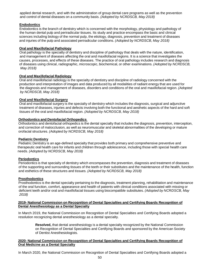applied dental research, and with the administration of group dental care programs as well as the prevention and control of dental diseases on a community basis. *(Adopted by NCRDSCB, May 2018)*

# **Endodontics**

 Endodontics is the branch of dentistry which is concerned with the morphology, physiology and pathology of the human dental pulp and periradicular tissues. Its study and practice encompass the basic and clinical sciences including biology of the normal pulp, the etiology, diagnosis, prevention and treatment of diseases and injuries of the pulp and associated periradicular conditions. *(Adopted by NCRDSCB, May 2018)*

# **Oral and Maxillofacial Pathology**

 Oral pathology is the specialty of dentistry and discipline of pathology that deals with the nature, identification, and management of diseases affecting the oral and maxillofacial regions. It is a science that investigates the causes, processes, and effects of these diseases. The practice of oral pathology includes research and diagnosis of diseases using clinical, radiographic, microscopic, biochemical, or other examinations. *(Adopted by NCRDSCB, May 2018)*

# **Oral and Maxillofacial Radiology**

 Oral and maxillofacial radiology is the specialty of dentistry and discipline of radiology concerned with the production and interpretation of images and data produced by all modalities of radiant energy that are used for the diagnosis and management of diseases, disorders and conditions of the oral and maxillofacial region. *(Adopted by NCRDSCB, May 2018)*

# **Oral and Maxillofacial Surgery**

 Oral and maxillofacial surgery is the specialty of dentistry which includes the diagnosis, surgical and adjunctive treatment of diseases, injuries and defects involving both the functional and aesthetic aspects of the hard and soft tissues of the oral and maxillofacial region. *(Adopted by NCRDSCB, May 2018)*

# **Orthodontics and Dentofacial Orthopedics**

 Orthodontics and dentofacial orthopedics is the dental specialty that includes the diagnosis, prevention, interception, and correction of malocclusion, as well as neuromuscular and skeletal abnormalities of the developing or mature orofacial structures. *(Adopted by NCRDSCB, May 2018)*

# **Pediatric Dentistry**

 Pediatric Dentistry is an age-defined specialty that provides both primary and comprehensive preventive and therapeutic oral health care for infants and children through adolescence, including those with special health care needs. *(Adopted by NCRDSCB, May 2018)*

# **Periodontics**

 Periodontics is that specialty of dentistry which encompasses the prevention, diagnosis and treatment of diseases of the supporting and surrounding tissues of the teeth or their substitutes and the maintenance of the health, function and esthetics of these structures and tissues. *(Adopted by NCRDSCB, May 2018)*

# **Prosthodontics**

 Prosthodontics is the dental specialty pertaining to the diagnosis, treatment planning, rehabilitation and maintenance of the oral function, comfort, appearance and health of patients with clinical conditions associated with missing or deficient teeth and/or oral and maxillofacial tissues using biocompatible substitutes. *(Adopted by NCRDSCB, May 2018)*

# **2019- National Commission on Recognition of Dental Specialties and Certifying Boards Recognition of Dental Anesthesiology as a Dental Specialty**

 In March 2019, the National Commission on Recognition of Dental Specialties and Certifying Boards adopted a resolution recognizing dental anesthesiology as a dental specialty.

**Resolved,** that dental anesthesiology is a dental specialty recognized by the National Commission on Recognition of Dental Specialties and Certifying Boards and sponsored by the American Society of Dentist Anesthesiologists.

# **2020- National Commission on Recognition of Dental Specialties and Certifying Boards Recognition of Oral Medicine as a Dental Specialty**

In March 2020, the National Commission on Recognition of Dental Specialties and Certifying Boards adopted a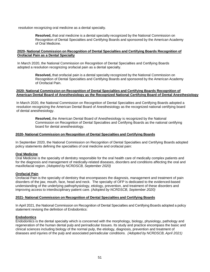resolution recognizing oral medicine as a dental specialty.

**Resolved,** that oral medicine is a dental specialty recognized by the National Commission on Recognition of Dental Specialties and Certifying Boards and sponsored by the American Academy of Oral Medicine.

# **2020- National Commission on Recognition of Dental Specialties and Certifying Boards Recognition of Orofacial Pain as a Dental Specialty**

 In March 2020, the National Commission on Recognition of Dental Specialties and Certifying Boards adopted a resolution recognizing orofacial pain as a dental specialty.

> **Resolved,** that orofacial pain is a dental specialty recognized by the National Commission on Recognition of Dental Specialties and Certifying Boards and sponsored by the American Academy of Orofacial Pain.

#### **2020- National Commission on Recognition of Dental Specialties and Certifying Boards Recognition of American Dental Board of Anesthesiology as the Recognized National Certifying Board of Dental Anesthesiology**

 In March 2020, the National Commission on Recognition of Dental Specialties and Certifying Boards adopted a resolution recognizing the American Dental Board of Anesthesiology as the recognized national certifying board of dental anesthesiology.

> **Resolved,** the American Dental Board of Anesthesiology is recognized by the National Commission on Recognition of Dental Specialties and Certifying Boards as the national certifying board for dental anesthesiology.

# **2020- National Commission on Recognition of Dental Specialties and Certifying Boards**

 In September 2020, the National Commission on Recognition of Dental Specialties and Certifying Boards adopted policy statements defining the specialties of oral medicine and orofacial pain:

# **Oral Medicine**

 Oral Medicine is the specialty of dentistry responsible for the oral health care of medically complex patients and for the diagnosis and management of medically-related diseases, disorders and conditions affecting the oral and maxillofacial region. *(Adopted by NCRDSCB, September 2020)*

#### **Orofacial Pain**

 Orofacial Pain is the specialty of dentistry that encompasses the diagnosis, management and treatment of pain disorders of the jaw, mouth, face, head and neck. The specialty of OFP is dedicated to the evidenced-based understanding of the underlying pathophysiology, etiology, prevention, and treatment of these disorders and improving access to interdisciplinary patient care. *(Adopted by NCRDSCB, September 2020)*

#### **2021- National Commission on Recognition of Dental Specialties and Certifying Boards**

 In April 2021, the National Commission on Recognition of Dental Specialties and Certifying Boards adopted a policy statement revising the definition of Endodontics:

#### **Endodontics**

 Endodontics is the dental specialty which is concerned with the morphology, biology, physiology, pathology and regeneration of the human dental pulp and periradicular tissues. Its study and practice encompass the basic and clinical sciences including biology of the normal pulp, the etiology, diagnosis, prevention and treatment of diseases and injuries of the pulp and associated periradicular conditions. *(Adopted by NCRDSCB, April 2021)*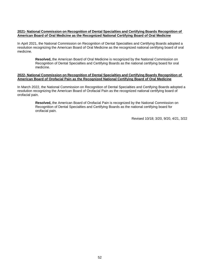#### **2021- National Commission on Recognition of Dental Specialties and Certifying Boards Recognition of American Board of Oral Medicine as the Recognized National Certifying Board of Oral Medicine**

 In April 2021, the National Commission on Recognition of Dental Specialties and Certifying Boards adopted a resolution recognizing the American Board of Oral Medicine as the recognized national certifying board of oral medicine.

> **Resolved,** the American Board of Oral Medicine is recognized by the National Commission on Recognition of Dental Specialties and Certifying Boards as the national certifying board for oral medicine.

#### **2022- National Commission on Recognition of Dental Specialties and Certifying Boards Recognition of American Board of Orofacial Pain as the Recognized National Certifying Board of Oral Medicine**

 In March 2022, the National Commission on Recognition of Dental Specialties and Certifying Boards adopted a resolution recognizing the American Board of Orofacial Pain as the recognized national certifying board of orofacial pain.

> **Resolved,** the American Board of Orofacial Pain is recognized by the National Commission on Recognition of Dental Specialties and Certifying Boards as the national certifying board for orofacial pain.

> > Revised 10/18; 3/20, 9/20, 4/21, 3/22